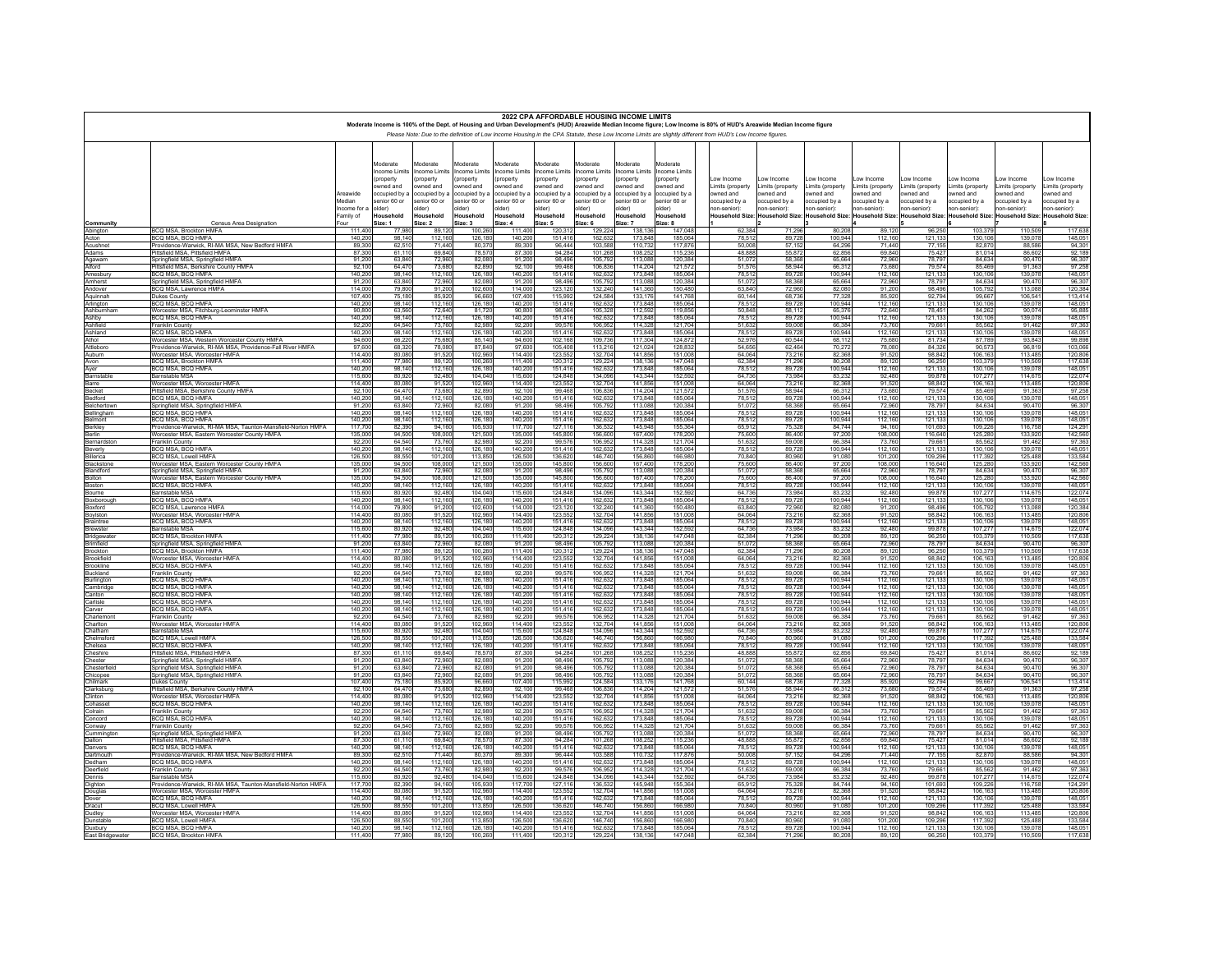|                             |                                                                                                              |                        |                          |                                        |                          |                           |                         | 2022 CPA AFFORDABLE HOUSING INCOME LIMITS |                          |                          | Moderate Income is 100% of the Dept. of Housing and Urban Development's (HUD) Areawide Median Income figure; Low Income is 80% of HUD's Areawide Median Income figure |                             |                              |                               |                               |                               |                               |                              |
|-----------------------------|--------------------------------------------------------------------------------------------------------------|------------------------|--------------------------|----------------------------------------|--------------------------|---------------------------|-------------------------|-------------------------------------------|--------------------------|--------------------------|-----------------------------------------------------------------------------------------------------------------------------------------------------------------------|-----------------------------|------------------------------|-------------------------------|-------------------------------|-------------------------------|-------------------------------|------------------------------|
|                             |                                                                                                              |                        |                          |                                        |                          |                           |                         |                                           |                          |                          | Please Note: Due to the definition of Low Income Housing in the CPA Statute, these Low Income Limits are slightly different from HUD's Low Income figures.            |                             |                              |                               |                               |                               |                               |                              |
|                             |                                                                                                              |                        |                          |                                        |                          |                           |                         |                                           |                          |                          |                                                                                                                                                                       |                             |                              |                               |                               |                               |                               |                              |
|                             |                                                                                                              |                        | Moderate<br>ncome Limits | <b>Moderate</b><br><b>ncome Limits</b> | Moderate<br>ncome Limits | Moderate<br>Income Limits | loderate<br>come Limits | loderate<br>come Limits                   | Moderate<br>ncome Limits | Moderate<br>ncome Limits |                                                                                                                                                                       |                             |                              |                               |                               |                               |                               |                              |
|                             |                                                                                                              |                        | property<br>wned and     | property<br>wned and                   | property<br>wned and     | (property<br>owned and    | oroperty<br>wned and    | property<br>wned and                      | (property<br>wned and    | (property<br>wned and    | ow Income<br>Limits (property                                                                                                                                         | ow Income<br>imits (propert | ow Income<br>imits (property | ow Income<br>Limits (property | ow Income<br>Limits (property | ow Income<br>Limits (property | ow Income<br>Limits (property | ow Income<br>imits (property |
|                             |                                                                                                              | Areawide               | ccupied by a             | occupied by a                          | pccupied by a            | occupied by a             | occupied by a           | ccupied by a                              | occupied by a            | occupied by:             | wned and                                                                                                                                                              | wned and                    | wned and                     | wned and                      | owned and                     | owned and                     | owned and                     | owned and                    |
|                             |                                                                                                              | Median<br>Income for a | enior 60 or<br>(Ider     | enior 60 or<br>lder)                   | senior 60 or<br>(Ider    | senior 60 or<br>plder)    | enior 60 or<br>(der     | enior 60 or<br>(der                       | senior 60 or<br>sider)   | senior 60 or<br>(der     | ccupied by a<br>on-senior)                                                                                                                                            | ccupied by a<br>on-senior): | ccupied by a<br>on-senior):  | ccupied by a<br>on-senior):   | occupied by a<br>10n-senior)  | occupied by a<br>(on-senior   | ccupied by a<br>10n-senior)   | ccupied by a<br>non-senior): |
|                             |                                                                                                              | Family of<br>Four      | lousehold<br>Size: 1     | lousehold<br>Size: 2                   | Household<br>Size: 3     | Household<br>Size: 4      | Household<br>Size: 5    | Household<br>Size: 6                      | Household<br>Size: 7     | Household<br>Size: 8     | lousehold Size                                                                                                                                                        | <b>Household Size</b>       | <b>Household Size:</b>       | <b>Household Size:</b>        | <b>Household Size:</b>        | <b>Household Size:</b>        | <b>Household Size</b>         | Household Size:              |
| Community<br>Abington       | Census Area Designation<br><b>BCQ MSA, Brockton HMFA</b>                                                     | 111,400                | 77.98                    | 89.12                                  | 100.260                  | 111.400                   | 120.31                  | 129.224                                   | 138,136                  | 147.048                  | 62.384                                                                                                                                                                | 71.29                       | 80.208                       | 89.120                        | 96.250                        | 103.379                       | 110,509                       | 117,638                      |
| Acton<br>Acushnet           | BCO MSA BCO HMEA<br>Providence-Warwick, RI-MA MSA, New Bedford HMFA                                          | 140,200<br>89,300      | 98 14<br>62.51           | 112 16<br>71.440                       | 126,180<br>80,370        | 140.20<br>89,300          | 151 41<br>96,444        | 162.63<br>103,588                         | 173 84<br>110.732        | 185.06<br>117,876        | 78.51<br>50,008                                                                                                                                                       | 8972<br>57.152              | 100 944<br>64.296            | 112 160<br>71,440             | 121.13<br>77.155              | 130 106<br>82,870             | 139.078<br>88,586             | 148.05<br>94.30              |
| Adams                       | Pittsfield MSA Pittsfield HMFA                                                                               | 87,300                 | 61 11                    | 69 84                                  | 78.57                    | 87.30                     | 94 284                  | 101.26                                    | 108 25                   | 115 236                  | 48 88                                                                                                                                                                 | 55.87                       | 62.856                       | 69 840                        | 75.427                        | 81 014                        | 86.602                        | 92.18                        |
| Agawam<br>Alford            | Springfield MSA Springfield HMFA<br>.<br>ittsfield MSA, Berkshire County HMFA                                | 91,200<br>92.10        | 63840<br>64.47           | 72960<br>73,68                         | 82.080<br>82,890         | 91 20<br>92,100           | 98 496<br>99.46         | 105 79<br>106,836                         | 113,088<br>114,204       | 120,384<br>121,57        | 51.07<br>51,57                                                                                                                                                        | 58.36<br>58,94              | 65 664<br>66,312             | 72.960<br>73,680              | 78,797<br>79,57               | 84 634<br>85,469              | 90 470<br>91,363              | 96.30<br>97,25               |
| Amesbury                    | BCO MSA BCO HMFA                                                                                             | 140.200                | 98 14                    | 112 16                                 | 126 180                  | 140 20                    | 151 41                  | 162.63                                    | 173 84                   | 185,064                  | 78.51                                                                                                                                                                 | 8972                        | 100 944                      | 112 160                       | 121 133                       | 130 106                       | 139 078                       | 148.05                       |
| Amherst<br>Andover          | Springfield MSA, Springfield HMFA<br>BCQ MSA, Lawrence HMFA                                                  | 91.20<br>114 00        | 63.84<br>79,800          | 72.96<br>91.20                         | 82.080<br>102 600        | 91.20<br>114 00           | 98.49<br>123 12         | 105,792<br>132 24                         | 113,088<br>141,360       | 120,384<br>150 480       | 51.07<br>63 840                                                                                                                                                       | 58.36<br>7296               | 65.664<br>82 080             | 72,960<br>91 200              | 78.797<br>98 496              | 84.634<br>105 792             | 90.470<br>113 088             | 96.30<br>120.38              |
| Aguinnah                    | Dukes Countv                                                                                                 | 107.40                 | 75.18                    | 85.92                                  | 96.66                    | 107.40                    | 115.99<br>151 41        | 124.584                                   | 133.17                   | 141.768                  | 60.144<br>78.513                                                                                                                                                      | 68.73                       | 77,328                       | 85.92                         | 92.79                         | 99.667                        | 106.541                       | 113.41                       |
| Arlington<br>Ashburnham     | BCO MSA BCO HMEA<br>Worcester MSA, Fitchburg-Leominster HMFA                                                 | 140 20<br>90.800       | 98 14<br>63,560          | 112.16<br>72.64                        | 126,180<br>81.720        | 140 20<br>90,800          | 98.064                  | 162.63<br>105,328                         | 173,848<br>112.592       | 185.064<br>119,856       | 50.848                                                                                                                                                                | 8972<br>58.11               | 100 944<br>65.376            | 112 160<br>72.640             | 121,133<br>78.45              | 130 106<br>84.262             | 139.078<br>90.074             | 148.05<br>95.88              |
| Ashby<br>Ashfield           | BCQ MSA, BCQ HMFA<br>Franklin County                                                                         | 140.20                 | 98 14<br>64.54           | 112 16                                 | 126.180                  | 140 20                    | 151 41                  | 162.63<br>106.95                          | 173 848<br>114,328       | 185,064                  | 78.51<br>51.63                                                                                                                                                        | 89.72<br>59.00              | 100 944                      | 112 160                       | 121 133                       | 130 106                       | 139.078                       | 148.05<br>97.36              |
| Ashland                     | BCO MSA BCO HMFA                                                                                             | 92.20<br>140.200       | 98 14                    | 73.76<br>112 16                        | 82,980<br>126.180        | 92.20<br>140.20           | 99.57<br>151 41         | 162.63                                    | 173,848                  | 121.704<br>185 064       | 78.513                                                                                                                                                                | 89 72                       | 66,384<br>100 944            | 73,760<br>112 160             | 79.66<br>121 132              | 85.562<br>130 106             | 91.462<br>139 078             | 148.05                       |
| Athol<br>Attleboro          | Worcester MSA, Western Worcester County HMFA<br>Providence-Warwick, RI-MA MSA, Providence-Fall River HMFA    | 94,600<br>9760         | 66.22<br>68.32           | 75.68<br>78.08                         | 85.14<br>8784            | 94.60<br>9760             | 102.16<br>105 40        | 109.73<br>113 21                          | 117,304<br>121,024       | 124,872<br>128.83        | 52.97<br>54 65                                                                                                                                                        | 60.54<br>62.46              | 68.112<br>70,272             | 75,680<br>78,080              | 81.734<br>84.32               | 87,789<br>90.573              | 93.843<br>96819               | 99.89<br>103.06              |
| Auburn                      | Worcester MSA, Worcester HMFA                                                                                | 114,400                | 80,080                   | 91.52                                  | 102.960                  | 114,400                   | 123,552                 | 132.70                                    | 141.856                  | 151.008                  | 64.064                                                                                                                                                                | 73.21                       | 82.368                       | 91.520                        | 98.842                        | 106,163                       | 113,485                       | 120.80                       |
| Avon<br>Ayer                | BCO MSA Brockton HMFA<br>BCQ MSA, BCQ HMFA                                                                   | 111 400<br>140,200     | 7798<br>98.140           | 89 12<br>112.16                        | 100.26<br>126,180        | 111 40<br>140.20          | 120.31<br>151.41        | 129.22<br>162.632                         | 138 13<br>173,848        | 147 048<br>185,064       | 62.384<br>78.51                                                                                                                                                       | 71 29<br>89.72              | 80.208<br>100,944            | 89 12<br>112,160              | 96.25<br>121.13               | 103 379<br>130,106            | 110.50<br>139,078             | 11763<br>148.05              |
| Barnstable<br>Barre         | <b>Barnstable MSA</b>                                                                                        | 115,600                | 80.92                    | 92 48                                  | 104 040                  | 115.60                    | 124,848                 | 134 09                                    | 143 344                  | 152.592                  | 64 736                                                                                                                                                                | 73 984                      | 83.232                       | 92 480                        | 99.878                        | 107 277                       | 114.675                       | 122.07                       |
| Becket                      | Worcester MSA, Worcester HMFA<br>Pittsfield MSA, Berkshire County HMFA                                       | 114,400<br>92 10       | 80.08<br>64 47           | 91.52<br>73.68                         | 102.96<br>82.89          | 114.40<br>92.10           | 123.55<br>99.46         | 132.70<br>10683                           | 141,856<br>114.20        | 151.008<br>121,57        | 64.06<br>51.57                                                                                                                                                        | 73.21<br>58.94              | 82.368<br>66.312             | 91.520<br>73 680              | 98.842<br>79.57               | 106,163<br>85469              | 113,485<br>91.363             | 120,80<br>97,258             |
| Bedford                     | BCQ MSA, BCQ HMFA                                                                                            | 140.200                | 98.14                    | 112.160                                | 126,180                  | 140.200                   | 151.416                 | 162.632                                   | 173,848                  | 185,064                  | 78.51                                                                                                                                                                 | 89.72                       | 100,944                      | 112,160                       | 121.13                        | 130,106                       | 139.078                       | 148.05                       |
| Belchertown<br>Bellingham   | Springfield MSA, Springfield HMFA<br>BCQ MSA, BCQ HMFA                                                       | 91,200<br>140,200      | 63840<br>98,140          | 72,96<br>112,160                       | 82.08<br>126,180         | 91.20<br>140,200          | 98.49<br>151.416        | 105.79<br>162.632                         | 113.08<br>173,848        | 120,384<br>185,064       | 51.073<br>78.51                                                                                                                                                       | 58.36<br>89.72              | 65 664<br>100,944            | 72,960<br>112,160             | 78.797<br>121.13              | 84 634<br>130,106             | 90.470<br>139.078             | 96.30<br>148.05              |
| Belmont                     | BCQ MSA, BCQ HMFA                                                                                            | 140.200                | 98 14                    | 112 16                                 | 126.18                   | 140.20                    | 151.41                  | 162.63                                    | 173 848                  | 185 064                  | 78.513                                                                                                                                                                | 89.72                       | 100 944                      | 112 160                       | 121.13                        | 130 106                       | 139.078                       | 148.05                       |
| erkley<br>erlin             | Providence-Warwick, RI-MA MSA, Taunton-Mansfield-Norton HMFA<br>Worcester MSA, Eastern Worcester County HMFA | 117,700<br>135,000     | 82.39<br>94,50           | 94.16<br>108,00                        | 105.93<br>121,500        | 117.70<br>135,00          | 127.11<br>145,80        | 136.53<br>156,600                         | 145,948<br>167,400       | 155,364<br>178,200       | 65.91<br>75,600                                                                                                                                                       | 75.32<br>86,400             | 84.744<br>97,200             | 94.160<br>108,000             | 101.69<br>116,640             | 109,226<br>125,280            | 116,758<br>133,920            | 124.29<br>142,56             |
| Bernardstor                 | Franklin County<br>BCQ MSA, BCQ HMFA                                                                         | 92.20                  | 64 54                    | 73.76<br>112,160                       | 82.98<br>126,180         | 92.20                     | 99.57<br>151,416        | 106.95                                    | 114 32<br>173,848        | 121 70<br>185,064        | 51.63<br>78,512                                                                                                                                                       | 59.00                       | 66 384<br>100,944            | 73 76                         | 79.66<br>121,133              | 85.562<br>130,106             | 91462<br>139,078              | 97.36<br>148,05              |
| Beverly<br><b>Billerica</b> | <b>BCO MSA Lowell HMFA</b>                                                                                   | 140.20<br>126.50       | 98.14<br>88.55           | 101.20                                 | 11385                    | 140.20<br>126.50          | 136.62                  | 162.63<br>146 74                          | 156.86                   | 166,980                  | 70 84                                                                                                                                                                 | 89.72<br>80.96              | 91.080                       | 112,160<br>101,200            | 109.296                       | 117 392                       | 125 488                       | 133.58                       |
| Blackstone<br>Blandford     | Vorcester MSA. Eastern Worcester County HMFA                                                                 | 135,000<br>91.20       | 94.50<br>63.84           | 108.00<br>72.96                        | 121,500                  | 135,000<br>91.20          | 145,800<br>98.49        | 156,600<br>10579                          | 167,400<br>113.08        | 178,200                  | 75,600<br>51.07                                                                                                                                                       | 86.40<br>58.36              | 97,200<br>65.664             | 108,000<br>72.96              | 116,640<br>78.797             | 125,280<br>84.634             | 133,920<br>90.47              | 142.56<br>96.30              |
| olton                       | Springfield MSA, Springfield HMFA<br>Worcester MSA, Eastern Worcester County HMFA                            | 135,000                | 94,500                   | 108,00                                 | 82,080                   | 135,000                   | 145.80                  | 156,600                                   | 167,400                  | 120,384<br>178,200       | 75.60                                                                                                                                                                 | 86,400                      | 97,200                       | 108,000                       | 116,640                       | 125,280                       | 133,920                       | 142,560                      |
| nston<br>Bourne             | BCO MSA BCO HMEA<br>Barnstable MSA                                                                           | 140.20<br>115,600      | 98 14<br>80.92           | 112 16<br>92.48                        | 126.18<br>104.040        | 140.20<br>115.60          | 151 41<br>124,84        | 162.63<br>134.09                          | 173 84<br>143,344        | 185,064<br>152.592       | 78.51<br>64,736                                                                                                                                                       | 8972<br>73.98               | 100 944<br>83.232            | 112 16<br>92.480              | 121 13<br>99.878              | 130 106<br>107,277            | 139 078<br>114.675            | 148.05<br>122.07             |
| Boxborough                  | BCO MSA BCO HMEA                                                                                             | 140.20                 | 98 14                    | 112 16                                 | 126.18                   | 140.20                    | 151.41                  | 162.63                                    | 173.84                   | 185 064                  | 78.51                                                                                                                                                                 | 8972                        | 100 944                      | 112 160                       | 121 132                       | 130 106                       | 139 078                       | 148.05                       |
| Boxford<br>viston           | BCQ MSA, Lawrence HMFA<br>Worcester MSA, Worcester HMFA                                                      | 114.00<br>114 40       | 79,800<br>80.08          | 91.20<br>91.52                         | 102,600<br>102,960       | 114.00<br>114 40          | 123,12                  | 132,240<br>132.70                         | 141,360<br>141.85        | 150.480<br>151.008       | 63.84<br>64.06                                                                                                                                                        | 72.96<br>73,21              | 82,080<br>82.368             | 91,200<br>91.52               | 98,496<br>98.842              | 105,792<br>106.16             | 113,088<br>113 485            | 120.38<br>120.80             |
| aintree                     | BCQ MSA, BCQ HMFA                                                                                            | 140.20                 | 98.14                    | 112.16                                 | 126,180                  | 140.20                    | 123,552<br>151,416      | 162.632                                   | 173,848                  | 185,064                  | 78.51                                                                                                                                                                 | 89.72                       | 100,944                      | 112,160                       | 121.13                        | 130,106                       | 139,078                       | 148.05                       |
| ewster<br>idgewate          | <b>Barnstable MSA</b><br>BCQ MSA. Brockton HMFA                                                              | 115,600<br>111,400     | 80.92<br>77.98           | 92.48<br>89.12                         | 104 04<br>100.26         | 115.60<br>111,400         | 124.84<br>120,312       | 134.09<br>129.224                         | 143.34<br>138,136        | 152.59<br>147.048        | 64 73<br>62.384                                                                                                                                                       | 73.98<br>71.296             | 83 232<br>80,208             | 92 480<br>89.120              | 99.87<br>96.250               | 107.27<br>103.379             | 114 675<br>110,509            | 122,074                      |
| imfield                     | Springfield MSA, Springfield HMFA                                                                            | 91 20<br>111,400       | 63840<br>77,98           | 72.96<br>89.12                         | 82.08<br>100.26          | 91.20<br>111.40           | 98.49<br>120,31         | 105 79<br>129,224                         | 113.08<br>138,136        | 120,384<br>147,048       | 51.07<br>62.384                                                                                                                                                       | 58.36<br>71,29              | 65.664<br>80,208             | 72,960                        | 78.797<br>96,250              | 84 634<br>103.379             | 90.470<br>110,509             | 96.30<br>117,638             |
| ockton<br>ookfield          | BCQ MSA, Brockton HMFA<br>Worcester MSA Worcester HMFA                                                       | 114 40                 | 80.08                    | 91.52                                  | 102.96                   | 114 40                    | 123,552<br>151,416      | 132.70                                    | 141.85                   | 151.00                   | 64.064                                                                                                                                                                | 73,21                       | 82.368                       | 89.120<br>91.52               | 98.842                        | 106 16                        | 113 485                       | 120.80                       |
| ookline<br><b>ickland</b>   | BCQ MSA, BCQ HMFA<br>Franklin County                                                                         | 140,200<br>92,200      | 98.14<br>64 54           | 112.16<br>73.76                        | 126,180<br>82,980        | 140.200<br>92.20          | 99.57                   | 162.632<br>106.95                         | 173,848<br>114.32        | 185,064<br>121.70        | 78.51<br>51.633                                                                                                                                                       | 89.72<br>59.00              | 100,944<br>66,384            | 112.160<br>73 760             | 121.13<br>79.66               | 130,106<br>85.562             | 139,078<br>91.462             | 148.05<br>97.36              |
| B<br><b>urlington</b>       | BCQ MSA, BCQ HMFA                                                                                            | 140,200                | 98.140                   | 112,160                                | 126,180                  | 140.200                   | 151,416                 | 162.632                                   | 173,848                  | 185,064                  | 78.512                                                                                                                                                                | 89.72                       | 100,944                      | 112,160                       | 121.133                       | 130,106                       | 139,078                       | 148.05                       |
| Cambridge<br>anton          | BCO MSA BCO HMFA<br>BCQ MSA, BCQ HMFA                                                                        | 140.200<br>140,200     | 98 14<br>98.14           | 112 16<br>112.16                       | 126,180<br>126,180       | 140.20<br>140.20          | 151.41<br>151,416       | 162.63<br>162.632                         | 173,848<br>173,848       | 185,064<br>185,064       | 78.51<br>78.51                                                                                                                                                        | 8972<br>89.72               | 100 944<br>100,944           | 112 160<br>112,160            | 121.13<br>121.13              | 130 106<br>130,106            | 139 078<br>139,078            | 148.05<br>148.05             |
| Carlisle                    | BCO MSA BCO HMFA                                                                                             | 140.20                 | 98.14                    | 112.16                                 | 126,180<br>126,180       | 140.20                    | 151.41                  | 162.63                                    | 173,848                  | 185,064                  | 78.51                                                                                                                                                                 | 89.72                       | 100 944                      | 112 160                       | 121,13                        | 130 106                       | 139 078                       | 148.05                       |
| Carver<br>Charlemont        | BCQ MSA, BCQ HMFA<br>Franklin County                                                                         | 140,200<br>92.20       | 98.14<br>64.54           | 112.16<br>73.76                        | 82,980                   | 140.20<br>92.20           | 151,416<br>99.57        | 162.632<br>106.95                         | 173,848<br>114,328       | 185,064<br>121,704       | 78.51<br>51,632                                                                                                                                                       | 89.72<br>59.00              | 100,944<br>66,384            | 112,160<br>73,760             | 121.13<br>79.66               | 130,106<br>85.562             | 139,078<br>91,462             | 148.05<br>97.36              |
| Charlton                    | Worcester MSA Worcester HMFA                                                                                 | 114 400                | 80.080                   | 91.52                                  | 102.960                  | 114 40                    | 123.553                 | 132.704                                   | 141 856                  | 151,008                  | 64 064                                                                                                                                                                | 73 21                       | 82 368                       | 91.520                        | 98842                         | 106 163                       | 113 485                       | 120.80                       |
| hatham<br>Chelmsford        | 3arnstable MSA<br><b>BCO MSA Lowell HMFA</b>                                                                 | 115.60<br>126.50       | 80.92<br>88.55           | 92.48<br>101.20                        | 104.04<br>11385          | 115.60<br>126.50          | 124,84<br>136.62        | 134.09<br>146 74                          | 143,344<br>156,860       | 152.592<br>166 980       | 64.73<br>70 84                                                                                                                                                        | 73.98<br>80.96              | 83.232<br>91.080             | 92,480<br>101 200             | 99.878<br>109.29              | 107.277<br>117 392            | 114,675<br>125 488            | 122.07<br>133.58             |
| helsea<br>Cheshire          | 3CQ MSA, BCQ HMFA<br>Pittsfield MSA Pittsfield HMFA                                                          | 140.20<br>8730         | 98.14<br>6111            | 112.16<br>6984                         | 126.180<br>78.57         | 140.20<br>8730            | 151.41<br>94 28         | 162.632<br>101.26                         | 173,848<br>108 25        | 185,064<br>115 236       | 78.51<br>48.88                                                                                                                                                        | 89.72<br>55.87              | 100.944<br>62856             | 112.160<br>69 840             | 121.13<br>75427               | 130,106<br>81 014             | 139.078<br>86.602             | 148.05<br>92.18              |
| Chester                     | Springfield MSA. Springfield HMFA                                                                            | 91.20                  | 63.84                    | 72.96                                  | 82,080                   | 91.20                     | 98.49                   | 105.792                                   | 113,088                  | 120.384                  | 51.07                                                                                                                                                                 | 58.36                       | 65.664                       | 72,960                        | 78.797                        | 84.634                        | 90.470                        | 96.30                        |
| Chesterfield<br>Chicopee    | Springfield MSA, Springfield HMFA<br>Springfield MSA, Springfield HMFA                                       | 91,200<br>91.20        | 63840<br>63.84           | 72.96<br>72.96                         | 82.080<br>82.080         | 91.20<br>91.20            | 98.49<br>98.49          | 105 793<br>105.79                         | 113 088<br>113,088       | 120 384<br>120.384       | 51.073<br>51.07                                                                                                                                                       | 58.36<br>58.36              | 65 664<br>65.664             | 72,960<br>72,960              | 78.797<br>78,797              | 84 634<br>84.634              | 90 470<br>90.470              | 96.30<br>96.30               |
| hilmark                     | Jukes County                                                                                                 | 107,400                | 75 18                    | 85.92                                  | 96.66                    | 107.40                    | 115 993                 | 124.584                                   | 133.17                   | 141 768                  | 60 144                                                                                                                                                                | 6873                        | 77,328                       | 85,920                        | 92,794                        | 99.667                        | 106.541                       | 113 41                       |
| Clarksburg<br>linton        | Pittsfield MSA, Berkshire County HMFA<br>Worcester MSA, Worcester HMFA                                       | 92.10<br>114 400       | 64.47<br>80.08           | 73.68<br>91.52                         | 82,890<br>102.96         | 92.10<br>114 40           | 99.468<br>123.55        | 106,836<br>13270                          | 114,204<br>141 85        | 121.57<br>151,008        | 51.57<br>64.064                                                                                                                                                       | 58.94<br>73.21              | 66.312<br>82 368             | 73,680<br>91.520              | 79.57<br>98 843               | 85.469<br>106 163             | 91.363<br>113 485             | 97.25<br>120,806             |
| Cohasset                    | BCQ MSA, BCQ HMFA                                                                                            | 140,200                | 98.140                   | 112,160                                | 126,180                  | 140.20                    | 151.41                  | 162.632                                   | 173,848                  | 185,064                  | 78.51                                                                                                                                                                 | 89.72                       | 100,944                      | 112,160                       | 121.133                       | 130,106                       | 139,078                       | 148.05                       |
| Colrain<br>oncord           | Franklin County<br>BCQ MSA, BCQ HMFA                                                                         | 92.200<br>140.20       | 64 54<br>98.14           | 73.76<br>112.16                        | 82.98<br>126,180         | 92.20<br>140.20           | 99.57<br>151.41         | 106.95<br>162.632                         | 114 32<br>173,848        | 121 704<br>185,064       | 51.633<br>78.51                                                                                                                                                       | 59.00<br>89.72              | 66,384<br>100,944            | 73 760<br>112,160             | 79.661<br>121.13              | 85.562<br>130.106             | 91462<br>139.078              | 97.36<br>148.05              |
| onway                       | Franklin County                                                                                              | 92.20                  | 64 54                    | 73.76                                  | 82.980                   | 92.20                     | 99.57                   | 106.95                                    | 114.32                   | 121,704                  | 51.63                                                                                                                                                                 | 59.00                       | 66,384                       | 73 760                        | 79.66                         | 85.562                        | 91462                         | 97.36                        |
| ummington<br>Dalton         | Springfield MSA, Springfield HMFA<br>Pittsfield MSA. Pittsfield HMFA                                         | 91.20<br>87,300        | 63,840<br>61 11          | 72.96<br>6984                          | 82,080<br>78.57          | 91.20<br>87.30            | 98,496<br>94 284        | 105.792<br>101.26                         | 113,088<br>108 25        | 120.384<br>115 236       | 51.07<br>48.88                                                                                                                                                        | 58.36<br>55.87              | 65.664<br>62856              | 72,960<br>69 840              | 78.797<br>75.42               | 84.634<br>81 014              | 90.470<br>86.602              | 96.30<br>92 18               |
| Danvers                     | BCQ MSA, BCQ HMFA                                                                                            | 140,200                | 98.14                    | 112,160                                | 126,180                  | 140.200                   | 151,416                 | 162.632                                   | 173,848                  | 185,064                  | 78.51                                                                                                                                                                 | 89.72                       | 100,944                      | 112,160                       | 121.133                       | 130,106                       | 139.078                       | 148.05                       |
| Dartmouth<br>Dedham         | Providence-Warwick, RI-MA MSA, New Bedford HMFA<br>BCQ MSA, BCQ HMFA                                         | 89,300<br>140.20       | 62.51<br>98.14           | 71 44<br>112.16                        | 80.37<br>126,180         | 89.30<br>140.20           | 96.444<br>151.41        | 103.58<br>162.632                         | 110 73<br>173,848        | 117 876<br>185,064       | 50.00<br>78.51                                                                                                                                                        | 57 15<br>89.72              | 64 296<br>100.944            | 71 440<br>112,160             | 77.15<br>121.13               | 82870<br>130,106              | 88.586<br>139.078             | 94 30<br>148.05              |
| Deerfield<br>Dennis         | Franklin County<br>Barnstable MSA                                                                            | 92.200<br>115,600      | 64 54<br>80,92           | 73.76<br>92.48                         | 82.98<br>104.040         | 92.20<br>115,600          | 99.57<br>124,848        | 106.95<br>134,096                         | 114 32<br>143,344        | 121,704<br>152.592       | 51.63<br>64.73                                                                                                                                                        | 59.00<br>73.98              | 66.384<br>83.232             | 73 760<br>92.480              | 79.66<br>99.878               | 85.562<br>107.277             | 91462<br>114,675              | 97.36<br>122.07              |
| Dighton                     | Providence-Warwick, RI-MA MSA, Taunton-Mansfield-Norton HMFA                                                 | 117 700                | 82.390                   | 94 16                                  | 10593                    | 117 70                    | 127 11                  | 136.533                                   | 145 948                  | 155,364                  | 65 91                                                                                                                                                                 | 75 32                       | 84 744                       | 94 160                        | 101.693                       | 109,226                       | 116 758                       | 124.29                       |
| Douglas<br>Dover            | Worcester MSA Worcester HMFA<br>BCQ MSA. BCQ HMFA                                                            | 114,400<br>140.20      | 80,080<br>98 14          | 91.520<br>112.16                       | 102,960<br>126.18        | 114,400<br>140.20         | 123,552<br>151,41       | 132,704<br>162.63                         | 141.856<br>173,848       | 151.008<br>185.064       | 64.064<br>78,51                                                                                                                                                       | 73.21<br>89.72              | 82.368<br>100,944            | 91.520<br>112.16              | 98.842<br>121.13              | 106,163<br>130,106            | 113,485<br>139.078            | 120,806<br>148,05            |
| Dracut                      | <b>BCO MSA I owell HMFA</b>                                                                                  | 126.50                 | 88.55                    | 101.20                                 | 11385                    | 126.50                    | 136.62                  | 14674                                     | 156.86                   | 166,980                  | 70 84                                                                                                                                                                 | 80.96                       | 91,080                       | 101.20                        | 109.296                       | 117.39                        | 125 488                       | 133.58                       |
| Dudley<br>Dunstable         | Worcester MSA, Worcester HMFA<br><b>BCO MSA Lowell HMFA</b>                                                  | 114,400<br>126.50      | 80.08<br>88.55           | 91.52<br>101.20                        | 102.96<br>11385          | 114.40<br>126.50          | 123,55<br>136.62        | 132,704<br>14674                          | 141.85<br>156.86         | 151.008<br>166.98        | 64.064<br>70 84                                                                                                                                                       | 73.21<br>80.96              | 82.368<br>91 080             | 91.52<br>101 20               | 98.842<br>109.29              | 106.163<br>117 39             | 113,485<br>125 48             | 120.80<br>133.58             |
| Duxbury                     | BCQ MSA, BCQ HMFA                                                                                            | 140,200                | 98.140                   | 112,160                                | 126,180                  | 140.200                   | 151,416                 | 162.632                                   | 173,848                  | 185.064                  | 78.512                                                                                                                                                                | 89,728                      | 100.944                      | 112,160                       | 121.133                       | 130.106                       | 139,078                       | 148,051                      |
| <b>Fast Bridgewater</b>     | BCO MSA Brockton HMFA                                                                                        | 111 400                | 77980                    | 89 120                                 | 100.260                  | 111 400                   | 120.31                  | 129 224                                   | 138 136                  | 147 048                  | 62.384                                                                                                                                                                | 71 29F                      | 80.208                       | 89 120                        | 96.250                        | 103 379                       | 110.509                       | 117,638                      |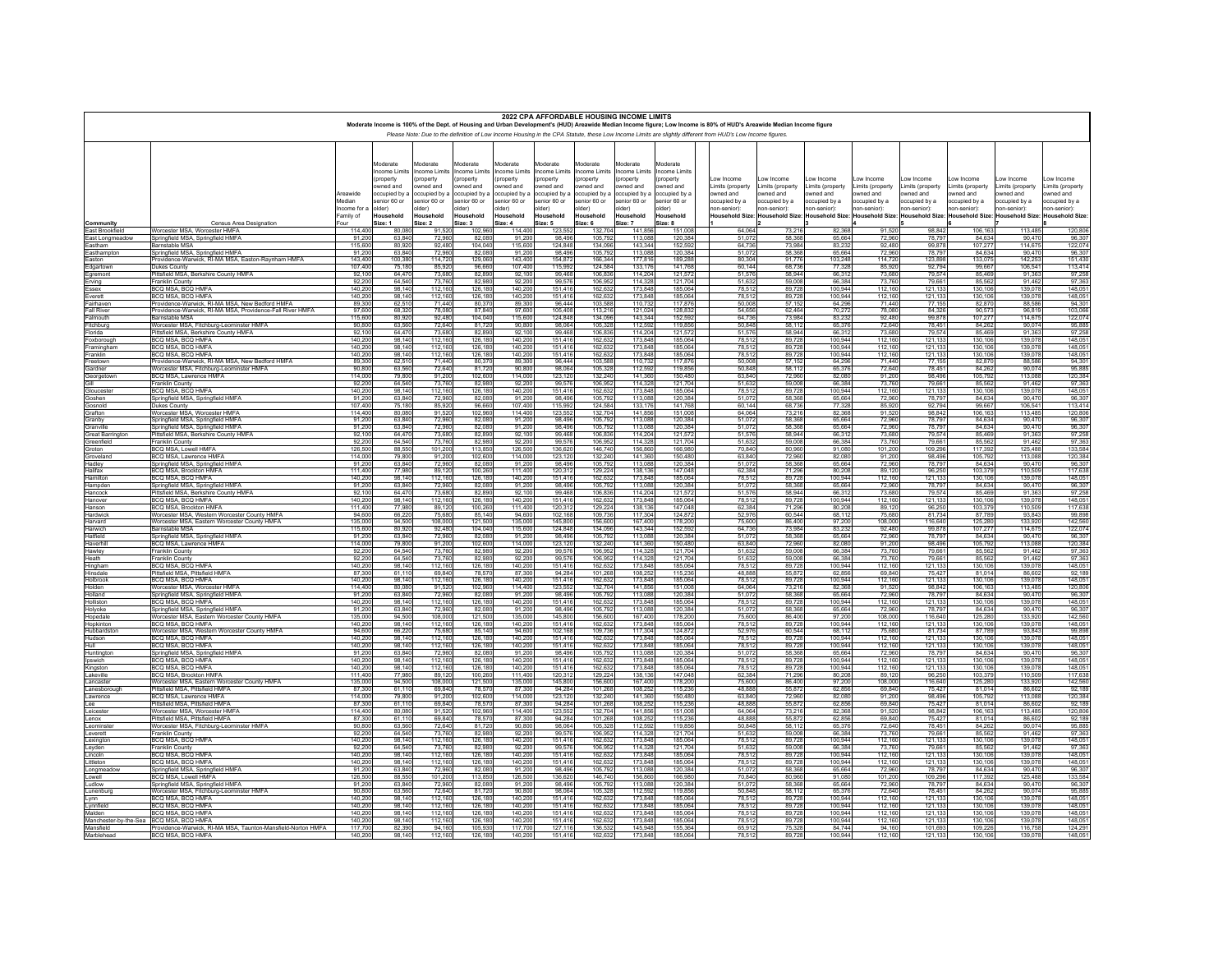|                                       |                                                                                                            |                        |                          |                                        |                          |                          | 2022 CPA AFFORDABLE HOUSING INCOME LIMITS |                                 |                          | Moderate Income is 100% of the Dept. of Housing and Urban Development's (HUD) Areawide Median Income figure; Low Income is 80% of HUD's Areawide Median Income figure |                               |                               |                              |                               |                                 |                              |                               |                              |
|---------------------------------------|------------------------------------------------------------------------------------------------------------|------------------------|--------------------------|----------------------------------------|--------------------------|--------------------------|-------------------------------------------|---------------------------------|--------------------------|-----------------------------------------------------------------------------------------------------------------------------------------------------------------------|-------------------------------|-------------------------------|------------------------------|-------------------------------|---------------------------------|------------------------------|-------------------------------|------------------------------|
|                                       |                                                                                                            |                        |                          |                                        |                          |                          |                                           |                                 |                          | Please Note: Due to the definition of Low Income Housing in the CPA Statute, these Low Income Limits are slightly different from HUD's Low Income figures.            |                               |                               |                              |                               |                                 |                              |                               |                              |
|                                       |                                                                                                            |                        | Moderate<br>ncome Limits | <b>Moderate</b><br><b>ncome Limits</b> | Noderate<br>ncome Limits | Moderate<br>ncome Limits | Moderate<br>ncome Limits                  | <b>Aoderate</b><br>ncome Limits | Moderate<br>ncome Limits | <b>Aoderate</b><br>ncome Limits                                                                                                                                       |                               |                               |                              |                               |                                 |                              |                               |                              |
|                                       |                                                                                                            |                        | property<br>wned and     | property<br>wned and                   | property<br>wned and     | property<br>wned and     | property<br>wned and                      | property<br>wned and            | property<br>wned and     | property<br>wned and                                                                                                                                                  | ow Income<br>Limits (property | ow Income<br>imits (property  | ow Income<br>imits (property | ow Income<br>Limits (property | ow Income<br>Limits (property   | ow Income<br>imits (property | ow Income<br>Limits (property | ow Income<br>imits (property |
|                                       |                                                                                                            | Areawide               | ccupied by a             | ccupied by a                           | occupied by:             | occupied by a            | pccupied by a                             | ccupied by a                    | ccupied by a             | ccupied by a                                                                                                                                                          | wned and                      | owned and                     | wned and                     | owned and                     | owned and                       | wned and                     | wned and                      | wned and                     |
|                                       |                                                                                                            | Median<br>Income for a | enior 60 or<br>(der)     | enior 60 or<br>lder)                   | enior 60 or<br>Ider)     | enior 60 or<br>(der      | enior 60 or<br>(der                       | enior 60 or<br>(der             | enior 60 or<br>lder)     | enior 60 or<br>(der                                                                                                                                                   | ccupied by a<br>ion-senior):  | occupied by a<br>ion-senior): | ccupied by a<br>ton-senior): | occupied by a<br>1on-senior): | occupied by a<br>1on-senior):   | ccupied by a<br>ion-senior): | ccupied by a<br>on-senior):   | ccupied by a<br>on-senior):  |
|                                       |                                                                                                            | Family of              | Household                | Household                              | Household                | Household                | Household                                 | Household                       | Household                | Household                                                                                                                                                             | Household Size:               | <b>Household Size</b>         | <b>Household Size:</b>       |                               | Household Size: Household Size: | <b>Household Size:</b>       | <b>Household Size</b>         | <b>Household Size</b>        |
| Community<br>East Brookfield          | Census Area Designation<br>Worcester MSA, Worcester HMFA                                                   | Four<br>114.40         | Size: 1<br>80.08         | Size: 2<br>91.52                       | Size: 3<br>102.96        | Size: 4<br>114.40        | Size: 5<br>123.55                         | Size: 6<br>132.70               | Size: 7<br>141.85        | Size: 8<br>151.00                                                                                                                                                     | 64.064                        | 73.216                        | 82.368                       | 91.520                        | 98.84                           | 106.163                      | 113,485                       | 120,806                      |
| East Longmeadow                       | Springfield MSA, Springfield HMFA                                                                          | 91.20                  | 63.84                    | 72.96                                  | 82.08                    | 91.20                    | 98.49                                     | 105.79                          | 113.08                   | 120,384                                                                                                                                                               | 51.07                         | 58.36                         | 65.664                       | 72.960                        | 78.79                           | 84 634                       | 90.47                         | 96.307                       |
| Eastham<br>Easthampton                | Rarnetable MSA<br>Springfield MSA, Springfield HMFA                                                        | 115,60<br>91.20        | 80.92<br>63,84           | 92.48<br>72,96                         | 104.04<br>82.08          | 115,60<br>91.20          | 124.84<br>98.49                           | 134.09<br>105,79                | 143.34<br>113,08         | 152.59<br>120,38                                                                                                                                                      | 64,736<br>51,072              | 73.98<br>58,36                | 83.232<br>65,664             | 92.480<br>72,960              | 99.87<br>78,79                  | 107.27<br>84,634             | 114.67<br>90.47               | 122,074<br>96.307            |
| Faston                                | Providence-Warwick, RI-MA MSA, Easton-Raynham HMFA                                                         | 14340                  | 100.38                   | 11472                                  | 129.06                   | 143 40                   | 154 87                                    | 16634                           | 17781                    | 189 28                                                                                                                                                                | 80 304                        | 91 77F                        | 103 248                      | 114 720                       | 123.89                          | 133.075                      | 142 253                       | 151 430                      |
| Edgartown<br>Egremont                 | Dukes Countv<br>Pittsfield MSA, Berkshire County HMFA                                                      | 107.40<br>92 10        | 75.18<br>6447            | 85.92<br>73.68                         | 96.66<br>82.89           | 107.40<br>92 10          | 115.99<br>99 46                           | 124.58<br>106.83                | 133.1<br>114 20          | 141.76<br>121.57                                                                                                                                                      | 60.144<br>51,576              | 68.73<br>58.944               | 77.328<br>66.312             | 85,920<br>73 680              | 92.79<br>79.57                  | 99.667<br>85 469             | 106.54<br>91.363              | 113,414<br>97 258            |
| Erving                                | Franklin County                                                                                            | 92.20                  | 64.54                    | 73.76                                  | 82.98                    | 92.20                    | 99.57                                     | 106.95                          | 114.32                   | 121.70                                                                                                                                                                | 51,632                        | 59.00                         | 66,384                       | 73.760                        | 79,66                           | 85.562                       | 91.462                        | 97.363                       |
| Essex<br>Everett                      | BCO MSA BCO HMFA<br>BCQ MSA, BCQ HMFA                                                                      | 140.20<br>140.20       | 98 14<br>98.14           | 112 16<br>112.16                       | 126.18<br>126.18         | 140 20<br>140.20         | 15141<br>151.41                           | 162.63<br>162.63                | 173 84<br>173.84         | 185.06<br>185.06                                                                                                                                                      | 78.512<br>78.512              | 89.72<br>89.72                | 100 944<br>100.944           | 112 160<br>112,160            | 121,13<br>121,133               | 130 106<br>130,106           | 139.07<br>139,078             | 148 051<br>148.051           |
| Fairhaven                             | Providence-Warwick RI-MA MSA New Bedford HMFA<br>Providence-Warwick, RI-MA MSA, Providence-Fall River HMFA | 89.30                  | 62.51                    | 7144                                   | 80.37                    | 8930                     | 96 44                                     | 103.58                          | 110.73                   | 11787                                                                                                                                                                 | 50,008                        | 57 152                        | 64 296                       | 71 440                        | 77 15<br>84,32                  | 82 870                       | 88.586                        | 94 301                       |
| <b>Fall River</b><br>Falmouth         | <b>Barnstable MSA</b>                                                                                      | 97.60<br>115,60        | 68.32<br>80.92           | 78.08<br>92.48                         | 87.84<br>104.04          | 97.60<br>115,60          | 105.40<br>124,84                          | 113.21<br>134.09                | 121.02<br>143.34         | 128.83<br>152.59                                                                                                                                                      | 54.656<br>64 736              | 62.46<br>73.984               | 70,272<br>83.232             | 78,080<br>92.480              | 99.87                           | 90.57<br>107.277             | 96.81<br>114 67               | 103.066<br>122,074           |
| Fitchburg<br>Florida                  | Worcester MSA, Fitchburg-Leominster HMFA                                                                   | 90.80<br>92 10         | 63.56<br>6447            | 72.64<br>73.68                         | 81.72<br>82.89           | 90.80<br>92.10           | 98.06<br>99 46                            | 105.32<br>10683                 | 112.59<br>114 20         | 119.85<br>121.57                                                                                                                                                      | 50,848<br>51.576              | 58.112<br>58.94               | 65,376<br>66.31              | 72.640<br>73 680              | 78.45<br>79.57                  | 84.262<br>85 469             | 90.074<br>91.363              | 95.885<br>97 258             |
| Foxborough                            | Pittsfield MSA, Berkshire County HMFA<br>BCQ MSA, BCQ HMFA                                                 | 140.20                 | 98.14                    | 112.16                                 | 126.18                   | 140.20                   | 151.41                                    | 162.63                          | 173.84                   | 185.06                                                                                                                                                                | 78.512                        | 89.72                         | 100,944                      | 112,160                       | 121.13                          | 130,106                      | 139.078                       | 148,051                      |
| Framingham<br>Franklin                | BCO MSA BCO HMFA<br>BCQ MSA, BCQ HMFA                                                                      | 140.20<br>140.20       | 98 14<br>98.14           | 112 16<br>112.16                       | 126.18<br>126.18         | 140.20<br>140.20         | 151 41<br>151.41                          | 162.63<br>162.63                | 173.84<br>173,84         | 185.06<br>185.06                                                                                                                                                      | 78.512<br>78.512              | 89 72<br>89.72                | 100 944<br>100.944           | 112 160<br>112.160            | 121,13<br>121.13                | 130 106<br>130,106           | 139.078<br>139.07             | 148 051<br>148.051           |
| Freetown                              | Providence-Warwick RI-MA MSA New Bedford HMFA                                                              | 89.30                  | 62.51                    | 7144                                   | 80.37                    | 89.30                    | 96.44                                     | 103.58                          | 110.73                   | 11787                                                                                                                                                                 | 50.008                        | 57 15                         | 64.296                       | 71 440                        | 77.15                           | 82.870                       | 88,586                        | 94 301                       |
| Gardner<br>Georgetown                 | Worcester MSA. Fitchburg-Leominster HMFA<br>BCQ MSA, Lawrence HMFA                                         | 90.80<br>114.00        | 63.56<br>79.80           | 72.64<br>91.20                         | 81.72<br>102.60          | 90.80<br>114 00          | 98.064<br>123.12                          | 105.32<br>132.24                | 112.59<br>141.36         | 119.85<br>15048                                                                                                                                                       | 50,848<br>63 840              | 58.112<br>72.96               | 65.376<br>82 080             | 72.640<br>91.200              | 78.45<br>98.49                  | 84.262<br>105 792            | 90.074<br>113 088             | 95,885<br>120.384            |
|                                       | Franklin County                                                                                            | 92.20                  | 64.54                    | 73.76                                  | 82.98                    | 92.20                    | 99.57                                     | 106.95                          | 114.32                   | 121.70                                                                                                                                                                | 51.632                        | 59.00                         | 66,384                       | 73,760                        | 79.66                           | 85.562                       | 91.462                        | 97.363                       |
| Gloucester<br>Goshen                  | BCO MSA BCO HMFA<br>Springfield MSA, Springfield HMFA                                                      | 140.20<br>91.20        | 98 14<br>63.84           | 112 16<br>72.96                        | 126,18<br>82.08          | 140.20<br>91.20          | 151 41<br>98.49                           | 162.63<br>105.79                | 173.84<br>113.08         | 185.06<br>120.38                                                                                                                                                      | 78.512<br>51,072              | 89 72<br>58.36                | 100 944<br>65.664            | 112 160<br>72,960             | 121,13<br>78,79                 | 130 106<br>84.634            | 139.078<br>90.470             | 148 051<br>96.307            |
| Gosnold                               | Dukes County                                                                                               | 10740                  | 75.18                    | 85.92                                  | 96.66                    | 10740                    | 115.99                                    | 124.58                          | 133 17                   | 14176                                                                                                                                                                 | 60 144                        | 68.73                         | 77 328                       | 85 920                        | 9279                            | 99.667                       | 106.541                       | 113 414                      |
| Grafton<br>Granby                     | Worcester MSA, Worcester HMFA<br>Springfield MSA, Springfield HMFA                                         | 114.40<br>91.20        | 80.08<br>6384            | 91.52<br>72.96                         | 102.96<br>82.08          | 114,40<br>91.20          | 123.552<br>98.49                          | 132.70<br>105 79                | 141.85<br>113.08         | 151.00<br>120.38                                                                                                                                                      | 64.064<br>51.072              | 73.21<br>58.36                | 82.368<br>65 664             | 91.520<br>72960               | 98.84<br>78.79                  | 106.163<br>84 634            | 113,485<br>90.470             | 120,806<br>96 307            |
| Granville                             | Springfield MSA, Springfield HMFA<br>Pittsfield MSA, Berkshire County HMFA                                 | 91.20<br>92,10         | 63.84<br>64,47           | 72.96<br>73,68                         | 82.08<br>82,89           | 91.20<br>92,10           | 98.49<br>99,46                            | 105.79<br>106,83                | 113.08<br>114,20         | 120.38<br>121,57                                                                                                                                                      | 51.072<br>51,576              | 58,36<br>58,944               | 65.664<br>66,312             | 72,960<br>73,680              | 78.79<br>79,57                  | 84.634<br>85,469             | 90.470<br>91,363              | 96.307<br>97,258             |
| <b>Great Barrington</b><br>Greenfield | Franklin County                                                                                            | 92.20                  | 64.54                    | 73 76                                  | 82.98                    | 92.20                    | 99.57                                     | 106,9                           | 114.32                   | 12170                                                                                                                                                                 | 51.632                        | 59.00                         | 66,384                       | 73 760                        | 79.66                           | 85.563                       | 91463                         | 97363                        |
| Groton<br>Groveland                   | <b>BCQ MSA, Lowell HMFA</b><br>BCO MSA Lawrence HMFA                                                       | 126,50<br>114.00       | 88.55<br>79.80           | 101,20<br>91.20                        | 113,85<br>102.60         | 126,50<br>114 00         | 136,620<br>123.12                         | 146,740<br>132.24               | 156,86<br>141.36         | 166,98<br>150 48                                                                                                                                                      | 70,840<br>63 840              | 80,960<br>72.96               | 91.080<br>82.080             | 101.200<br>91,200             | 109.29<br>98.49                 | 117,392<br>105 792           | 125,488<br>113 088            | 133,584<br>120 384           |
| Hadley                                | Springfield MSA, Springfield HMFA                                                                          | 91,20                  | 63.84                    | 72,96                                  | 82.08                    | 91.20                    | 98.49                                     | 105,79                          | 113,08                   | 120.38                                                                                                                                                                | 51,072                        | 58,368                        | 65.664                       | 72,960                        | 78,79                           | 84.634                       | 90.470                        | 96.307                       |
| Halifax<br>Hamilton                   | <b>BCO MSA Brockton HMFA</b><br>BCQ MSA, BCQ HMFA                                                          | 11140<br>140.20        | 77 98<br>98.14           | 89 12<br>112,16                        | 100,26                   | 111 40<br>140.20         | 120,312<br>151,416                        | 129,22<br>162.63                | 138,13<br>173,84         | 147 04<br>185.06                                                                                                                                                      | 62,384<br>78,512              | 71.29<br>89.72                | 80.208<br>100,944            | 89 120<br>112.160             | 96,250<br>121,133               | 103.37<br>130,106            | 110.50<br>139.078             | 117 638<br>148.051           |
| Hampden                               | Springfield MSA, Springfield HMFA                                                                          | 91.20                  | 6384                     | 72.96                                  | 82.08                    | 91.20                    | 98.49                                     | 105.7                           | 113.08                   | 120,38                                                                                                                                                                | 51.07                         | 58.36                         | 65.664                       | 72,960                        | 78.79                           | 84 634                       | 90.47                         | 96.307                       |
| Hancock<br>Hanover                    | Pittsfield MSA, Berkshire County HMFA<br>BCO MSA BCO HMFA                                                  | 92.10<br>140.20        | 64.47<br>98 14           | 73.68<br>112 16                        | 82.89<br>126,18          | 92.10<br>140.20          | 99.46<br>151.41                           | 106.83<br>162.63                | 114,20<br>173.84         | 185.06                                                                                                                                                                | 51,576<br>78.512              | 58,944<br>89.72               | 66,312<br>100 944            | 73,680<br>112 160             | 79,57<br>121.13                 | 85,469<br>130 106            | 91.36<br>139.078              | 97.258<br>148 051            |
| Hanson                                | BCQ MSA, Brockton HMFA                                                                                     | 111,40                 | 77,98                    | 89.12                                  | 100.26                   | 111,40                   | 120,31                                    | 129.22                          | 138,13                   | 147.04                                                                                                                                                                | 62,384                        | 71,296                        | 80,208                       | 89.120                        | 96.25                           | 103.379                      | 110,50                        | 117,638                      |
| Hardwick<br>Harvard                   | Worcester MSA, Western Worcester County HMFA<br>Worcester MSA, Eastern Worcester County HMFA               | 94.60<br>135,00        | 66.2<br>94.50            | 75.68<br>108.00                        | 85,14                    | 94.60<br>135,00          | 102,168<br>145,800                        | 109,736<br>156,600              | 117,30<br>167,40         | 124,87<br>178.20                                                                                                                                                      | 52,976<br>75,600              | 60.54<br>86,400               | 68.112<br>97.200             | 75 680<br>108,000             | 81,734<br>116,64                | 87,789<br>125,280            | 93 843<br>133,920             | 99 898<br>142.560            |
| Harwich<br>Hatfield                   | <b>Barnstable MSA</b><br>Springfield MSA, Springfield HMFA                                                 | 115.60<br>91.20        | 80.92<br>63.84           | 92.48<br>72.96                         | 104.04<br>82.08          | 115.60<br>91.20          | 124.84<br>98.49                           | 134,09<br>105,79                | 143.34<br>113,08         | 152.59<br>120.38                                                                                                                                                      | 64.736<br>51,072              | 73.984<br>58,368              | 83 232<br>65.664             | 92 480<br>72,960              | 99.87<br>78,79                  | 107.27<br>84.634             | 114 67<br>90.470              | 122.074<br>96,307            |
| Haverhill                             | BCQ MSA, Lawrence HMFA                                                                                     | 114.00                 | 79.80                    | 91.20                                  | 102.60                   | 114.00                   | 123,12                                    | 132,24                          | 141,36<br>114,32         | 150.48                                                                                                                                                                | 63.840                        | 72.96                         | 82 080                       | 91,200                        | 98.49                           | 105.79                       | 113 088                       | 120,384<br>97,363            |
| Hawley<br>Heath                       | Franklin County<br>Franklin County                                                                         | 92.20<br>92.20         | 64.54<br>64.54           | 73,76<br>73 76                         | 82.98<br>82.98           | 92.20<br>92.20           | 99.57<br>99.57                            | 106.95<br>106.95                | 114.32                   | 121,70<br>121 70                                                                                                                                                      | 51,632<br>51.632              | 59.00<br>59.00                | 66,384<br>66,384             | 73,760<br>73.760              | 79,66<br>79.66                  | 85,562<br>85.562             | 91.462<br>91463               | 97363                        |
| Hingham                               | BCQ MSA, BCQ HMFA                                                                                          | 140.20                 | 98.14                    | 112.16                                 | 126,18                   | 140,200                  | 151,416                                   | 162.63                          | 173.84                   | 185.06                                                                                                                                                                | 78.512                        | 89.728                        | 100.944                      | 112,160                       | 121,133                         | 130,106                      | 139,078                       | 148.051                      |
| Hinsdale<br>Holbrook                  | Pittsfield MSA Pittsfield HMFA<br>BCQ MSA, BCQ HMFA                                                        | 87.30<br>140.20        | 61 11<br>98.14           | 69.84<br>112.16                        | 78.57<br>126,18          | 87.30<br>140.20          | 94.28<br>151,41                           | 101.26<br>162.63                | 108,25<br>173,84         | 115.23<br>185.06                                                                                                                                                      | 48.888<br>78.512              | 55.87<br>89.72                | 62 856<br>100,944            | 69840<br>112.160              | 75,42<br>121,13                 | 81.014<br>130,106            | 86.603<br>139.078             | 92 189<br>148.051            |
| Holden                                | Worcester MSA, Worcester HMFA                                                                              | 114.40                 | 80.08                    | 91.52                                  | 102,96                   | 114.40                   | 123,55                                    | 132,70<br>105,79                | 141,85<br>113,08         | 151.00                                                                                                                                                                | 64.064                        | 73.21                         | 82,368                       | 91.520                        | 98.84                           | 106 16                       | 113 48                        | 120,806                      |
| Holland<br>Holliston                  | Springfield MSA, Springfield HMFA<br>BCO MSA BCO HMFA                                                      | 91.20<br>140.20        | 63.84<br>98.14           | 72.96<br>112.16                        | 82.08<br>126,18          | 91.20<br>140.20          | 98.49<br>151.41                           | 162.63                          | 173,84                   | 120.38<br>185.06                                                                                                                                                      | 51,072<br>78.512              | 58,36<br>89,72                | 65.664<br>100 944            | 72,960<br>112 160             | 78.79<br>121,13                 | 84.634<br>130 106            | 90.470<br>139 078             | 96.307<br>148,051            |
| Holyoke<br>Hopedale                   | Springfield MSA, Springfield HMFA<br>Worcester MSA, Eastern Worcester County HMFA                          | 91.20<br>135.00        | 63.84<br>94.50           | 72.96                                  | 82.08<br>121.50          | 91,200<br>135.00         | 98.496<br>145.80                          | 105.79<br>156,60                | 113.08<br>167.40         | 120.38                                                                                                                                                                | 51,072<br>75,600              | 58,368                        | 65.664                       | 72,960<br>108,000             | 78.79<br>116.64                 | 84.634<br>125.28             | 90.470                        | 96,307<br>142,560            |
| Hopkinton                             | BCO MSA BCO HMFA                                                                                           | 140.20                 | 98 14                    | 108.00<br>112,16                       | 126,18                   | 140.20                   | 15141                                     | 162,63                          | 173,84                   | 178.20<br>185.06                                                                                                                                                      | 78,512                        | 86.40<br>89.72                | 97.20<br>100.944             | 112 160                       | $\frac{121,133}{81,734}$        | 130 106                      | 133.92<br>139.07              | 148 051                      |
| Hubbardston<br>Hudson                 | Worcester MSA. Western Worcester County HMFA<br>BCO MSA BCO HMFA                                           | 94.60<br>140.20        | 66.22<br>98 14           | 75.68<br>112 16                        | 85.14<br>126.18          | 94.60<br>140 20          | 102.16<br>15141                           | 109.73<br>162.63                | 117,30<br>173 84         | 124.87<br>185.06                                                                                                                                                      | 52,976<br>78.512              | 60.54<br>89 72                | 68.112<br>100 944            | 75.680<br>112 160             | 121,13                          | 87.789<br>130 106            | 93.84<br>139.07               | 99.898<br>148 051            |
| Hull                                  | BCQ MSA, BCQ HMFA                                                                                          | 140.20                 | 98.14                    | 112.16                                 | 126.18                   | 140.20                   | 151.41                                    | 162.63                          | 173.84                   | 185.06                                                                                                                                                                | 78.512                        | 89.72                         | 100.944                      | 112.160                       | 121,13                          | 130,106                      | 139.078                       | 148.051                      |
| Huntington<br>Ipswich                 | Springfield MSA Springfield HMFA<br>BCQ MSA. BCQ HMFA                                                      | 91.20<br>140.20        | 63.84<br>98.14           | 72.96<br>112.16                        | 82.08<br>126,18          | 91.20<br>140.20          | 98.49<br>151.41                           | 10579<br>162.63                 | 113.08<br>173.84         | 120.38<br>185.06                                                                                                                                                      | 51.072<br>78,512              | 58.36<br>89.72                | 65 664<br>100.944            | 72960<br>112.160              | 78.79<br>121,13                 | 84.634<br>130.10             | 90.47<br>139.07               | 96 307<br>148.051            |
| Kingston                              | BCO MSA BCO HMFA                                                                                           | 140.20                 | 98 14                    | 112 16                                 | 126,18                   | 140.20                   | 15141                                     | 162.63                          | 173 84                   | 185.06                                                                                                                                                                | 78.512                        | 89.72                         | 100 944                      | 112 160                       | 121,13                          | 130,106                      | 139.07                        | 148 051                      |
| Lakeville<br>Lancaster                | BCQ MSA, Brockton HMFA<br>Worcester MSA Fastern Worcester County HMFA                                      | 111.40<br>135.00       | 77.98<br>94.50           | 89.12<br>108.00                        | 100.26<br>121.50         | 111.40<br>135.00         | 120.31<br>14580                           | 129.22<br>156.60                | 138.13<br>16740          | 147.04<br>178.20                                                                                                                                                      | 62.384<br>75,600              | 71.29<br>86 40                | 80,208<br>97 200             | 89.120<br>108,000             | 96.25<br>116 64                 | 103.379<br>125 280           | 110,509<br>133 92             | 117.638<br>142,560           |
| Lanesborough                          | Pittsfield MSA. Pittsfield HMFA<br>BCO MSA Lawrence HMFA                                                   | 87.30<br>114.00        | 61.11                    | 69.84                                  | 78.57                    | 87.30                    | 94.28                                     | 101.26                          | 108.25<br>141.36         | 115.23                                                                                                                                                                | 48.888<br>63840               | 55.87                         | 62.856                       | 69,840                        | 75.42                           | 81.01                        | 86.602<br>113 088             | 92.189                       |
| Lawrence<br>Lee                       | Pittsfield MSA, Pittsfield HMFA                                                                            | 87.30                  | 79.80<br>61.11           | 91.20<br>69.84                         | 102.60<br>78.57          | 114 00<br>87.30          | 123.12<br>94.284                          | 132,24<br>101.26                | 108.25                   | 150 48<br>115.23                                                                                                                                                      | 48,888                        | 72,960<br>55.87               | 82.080<br>62.856             | 91,200<br>69,840              | 98.49<br>75.42                  | 105 792<br>81.014            | 86.602                        | 120.384<br>92.189            |
| Leicester<br>Lenox                    | Worcester MSA Worcester HMFA<br>Pittsfield MSA, Pittsfield HMFA                                            | 11440<br>87.30         | 80.08<br>61.11           | 91.52<br>69.84                         | 102.96<br>78.57          | 114 40<br>87,300         | 123.55<br>94.284                          | 132.70<br>101.26                | 141.85<br>108.25         | 151.00<br>115.23                                                                                                                                                      | 64.064<br>48.888              | 73.21<br>55.87                | 82.368<br>62.856             | 91.520<br>69,840              | 98.84<br>75.42                  | 106 16<br>81.014             | 113 485<br>86.602             | 120.806<br>92.189            |
| Leominster                            | Worcester MSA, Fitchburg-Leominster HMFA                                                                   | 90.80                  | 63.56                    | 72.64                                  | 8172                     | 90.80                    | 98.064                                    | 105.32                          | 112.59                   | 11985                                                                                                                                                                 | 50 848                        | 58 11                         | 65 376                       | 72 640                        | 78.45                           | 84 262                       | 90.074                        | 95 885                       |
| Leverett<br>Lexington                 | Franklin County<br>BCQ MSA, BCQ HMFA                                                                       | 92.20<br>140.20        | 64.54<br>98 14           | 73.76<br>112.16                        | 82.98<br>126,18          | 92.20<br>140.20          | 99.57<br>151.41                           | 106.95<br>162.63                | 114.32<br>173.84         | 121.70<br>185.06                                                                                                                                                      | 51.632<br>78.512              | 59.00<br>89.72                | 66,384<br>100.944            | 73,760<br>112.160             | 79.66<br>121,13                 | 85.562<br>130 106            | 91.462<br>139 07              | 97.363<br>148 051            |
| Leyden                                | Franklin County                                                                                            | 92.20                  | 64.54                    | 73.76                                  | 82.98                    | 92.20                    | 99.57                                     | 106.95                          | 114.32                   | 121.70                                                                                                                                                                | 51.632                        | 59.00                         | 66,384                       | 73,760                        | 79.66                           | 85.562                       | 91.462                        | 97.363                       |
| Lincoln<br>Littleton                  | BCQ MSA, BCQ HMFA<br>BCQ MSA, BCQ HMFA                                                                     | 140.20<br>140.20       | 98 14<br>98.14           | 112 16<br>112.16                       | 126.18<br>126.18         | 140 20<br>140.20         | 151 41<br>151.41                          | 162.63<br>162.63                | 173.84<br>173.84         | 185.06<br>185.06                                                                                                                                                      | 78.512<br>78.512              | 89.72<br>89.72                | 100 944<br>100.944           | 112 160<br>112.160            | 121.13<br>121.13                | 130 106<br>130,106           | 139.078<br>139,078            | 148 051<br>148.051           |
| Longmeadov                            | Springfield MSA Springfield                                                                                | 91.20                  | 6384                     | 72.96                                  | 82.08                    | 91.20                    | 98.49                                     | 10579                           | 113.08                   | 120.38                                                                                                                                                                | 51.072                        | 58.36                         | 65 664                       | 72960                         | 78.79                           | 84 634                       | 90.470                        | 96.307                       |
| Lowell<br>Ludlow                      | BCQ MSA, Lowell HMFA<br>Springfield MSA, Springfield HMFA                                                  | 126.50<br>91.20        | 88.55<br>6384            | 101.20<br>72.96                        | 113.85<br>82.08          | 126.50<br>91.20          | 136.62<br>98.49                           | 146.74<br>105.79                | 156.86<br>113.08         | 166.98<br>120,38                                                                                                                                                      | 70,840<br>51.072              | 80.96<br>58.36                | 91,080<br>65.664             | 101.200<br>72,960             | 109.29<br>78.79                 | 117.392<br>84 634            | 125,488<br>90.470             | 133,584<br>96.307            |
| Lunenburg                             | Worcester MSA, Fitchburg-Leominster HMFA<br>BCQ MSA, BCQ HMFA                                              | 90.80<br>140,20        | 63.56<br>98.14           | 72.64<br>112.16                        | 81.72<br>126,18          | 90.80<br>140,20          | 98.064<br>151,41                          | 105.32<br>162,63                | 112.59<br>173,84         | 119.85<br>185.06                                                                                                                                                      | 50.848<br>78,512              | 58.11<br>89,728               | 65.376<br>100.944            | 72.640<br>112,160             | 78.45<br>121,13                 | 84.262<br>130,106            | 90.074<br>139,078             | 95.885<br>148,051            |
| Lynn<br>Lynnfield<br>Malden           | BCO MSA BCO HMEA                                                                                           | 140.20                 | 98 14                    | 112 16                                 | 126,18<br>126,18         | 140.20                   | 151 41                                    | 162.63                          | 173,84                   | 185.06                                                                                                                                                                | 78.51                         | 89.72                         | 100 944                      | 112 160                       | 121,13<br>121,13                | 130 10                       | 139.07                        | 148,051                      |
|                                       | BCQ MSA, BCQ HMFA<br>Manchester-by-the-Sea BCQ MSA, BCQ HMFA                                               | 140,20<br>140.2        | 98.14<br>98 14           | 112,16<br>112 16                       |                          | 140.20<br>140.20         | 151,41<br>151.41                          | 162,63<br>162.6                 | 173,84<br>173.84         | 185.06<br>185.06                                                                                                                                                      | 78,512<br>78.51               | 89.72<br>89.72                | 100.944<br>100.944           | 112.160<br>112 160            |                                 | 130,106<br>130 10            | 139.07<br>139.07              | 148.051<br>148.05            |
| Mansfield                             | Providence-Warwick, RI-MA MSA, Taunton-Mansfield-Norton HMFA                                               | 117,700                | 82.39                    | 94.16                                  | 126,180<br>105,930       | 117,700                  | 127,116                                   | 136.53                          | 145,948                  | 155.36                                                                                                                                                                | 65.912                        | 75.328                        | 84.744                       | 94.160                        | 121,133                         | 109.226                      | 116,758                       | 124.291                      |
| Marblehead                            | BCO MSA BCO HMFA                                                                                           | 140.20                 | 98 140                   | 112 16                                 | 126,180                  | 140.20                   | 151 416                                   | 162.63                          | 173,848                  | 185 064                                                                                                                                                               | 78.512                        | 89.728                        | 100 944                      | 112 160                       | 121.13                          | 130 106                      | 139 078                       | 148 051                      |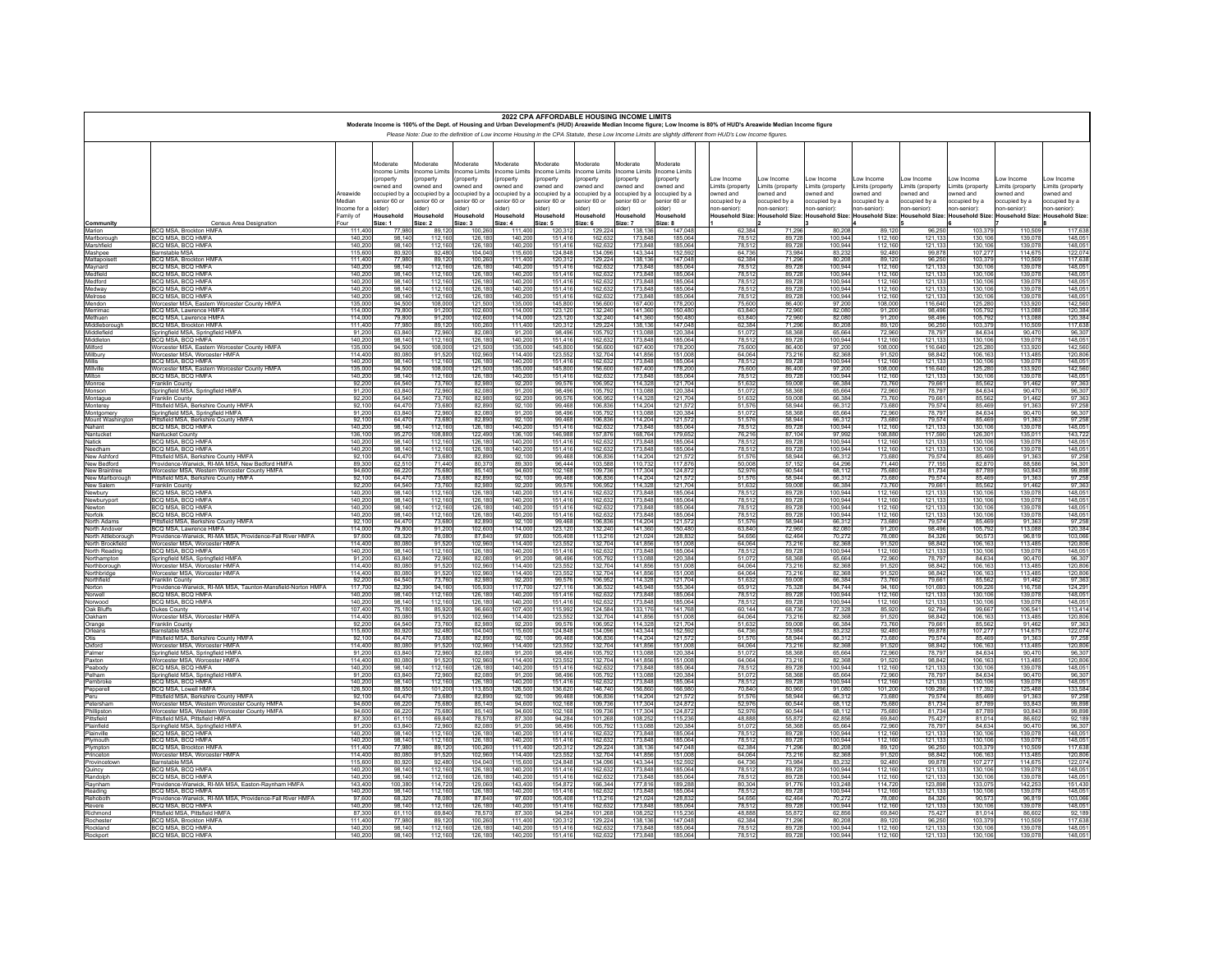|                                        |                                                                                       |                        |                             |                                 |                             |                              | 2022 CPA AFFORDABLE HOUSING INCOME LIMITS |                             |                             |                                                                                                                                                                                                                                                                                                                                     |                          |                            |                          |                            |                                 |                          |                          |                          |
|----------------------------------------|---------------------------------------------------------------------------------------|------------------------|-----------------------------|---------------------------------|-----------------------------|------------------------------|-------------------------------------------|-----------------------------|-----------------------------|-------------------------------------------------------------------------------------------------------------------------------------------------------------------------------------------------------------------------------------------------------------------------------------------------------------------------------------|--------------------------|----------------------------|--------------------------|----------------------------|---------------------------------|--------------------------|--------------------------|--------------------------|
|                                        |                                                                                       |                        |                             |                                 |                             |                              |                                           |                             |                             | Moderate Income is 100% of the Dept. of Housing and Urban Development's (HUD) Areawide Median Income figure; Low Income is 80% of HUD's Areawide Median Income figure<br>Please Note: Due to the definition of Low Income Housing in the CPA Statute, these Low Income Limits are slightly different from HUD's Low Income figures. |                          |                            |                          |                            |                                 |                          |                          |                          |
|                                        |                                                                                       |                        |                             |                                 |                             |                              |                                           |                             |                             |                                                                                                                                                                                                                                                                                                                                     |                          |                            |                          |                            |                                 |                          |                          |                          |
|                                        |                                                                                       |                        | Moderate                    | Noderate                        | Noderate                    | Moderate                     | Moderate                                  | Moderate                    | Moderate                    | <b>Aoderate</b>                                                                                                                                                                                                                                                                                                                     |                          |                            |                          |                            |                                 |                          |                          |                          |
|                                        |                                                                                       |                        | ncome Limits<br>property    | <b>ncome Limits</b><br>property | ncome Limits<br>property    | ncome Limits<br>property     | ncome Limits<br>property                  | ncome Limits<br>property    | ncome Limits<br>property    | ncome Limits<br>property                                                                                                                                                                                                                                                                                                            | ow Income                | ow Income                  | ow Income                | ow Income                  | ow Income                       | ow Income                | ow Income                | ow Income                |
|                                        |                                                                                       |                        | wned and                    | wned and                        | wned and                    | wned and                     | wned and                                  | wned and                    | wned and                    | wned and                                                                                                                                                                                                                                                                                                                            | Limits (property         | imits (property            | imits (property          | Limits (property           | Limits (property                | imits (property          | Limits (property         | imits (property          |
|                                        |                                                                                       | Areawide               | ccupied by a<br>enior 60 or | ccupied by a<br>enior 60 or     | ccupied by a<br>enior 60 or | occupied by a<br>enior 60 or | pccupied by a<br>enior 60 or              | ccupied by a<br>enior 60 or | ccupied by a<br>enior 60 or | ccupied by a<br>enior 60 or                                                                                                                                                                                                                                                                                                         | wned and<br>ccupied by a | owned and<br>occupied by a | wned and<br>ccupied by a | owned and<br>occupied by a | owned and<br>occupied by a      | wned and<br>ccupied by a | wned and<br>ccupied by a | wned and<br>ccupied by a |
|                                        |                                                                                       | Median<br>Income for a | (der)                       | lder)                           | Ider)                       | (der                         | (der                                      | (der                        | lder)                       | (der                                                                                                                                                                                                                                                                                                                                | ion-senior):             | ion-senior):               | ton-senior):             | 1on-senior):               | 1on-senior):                    | ion-senior):             | on-senior):              | on-senior):              |
|                                        |                                                                                       | Family of              | Household                   | Household                       | Household                   | Household                    | Household                                 | Household                   | Household                   | Household                                                                                                                                                                                                                                                                                                                           | Household Size:          | <b>Household Size</b>      | <b>Household Size:</b>   |                            | Household Size: Household Size: | <b>Household Size</b>    | <b>Household Size</b>    | <b>Household Size</b>    |
| Community<br>Marion                    | Census Area Designation<br>BCQ MSA, Brockton HMFA                                     | Four<br>111.40         | Size: 1<br>77.98            | Size: 2<br>89.12                | Size: 3<br>100.26           | Size: 4<br>111.40            | Size: 5<br>120.31                         | Size: 6<br>129.22           | Size: 7<br>138.13           | Size: 8<br>147.04                                                                                                                                                                                                                                                                                                                   | 62.384                   | 71.29                      | 80.208                   | 89.120                     | 96.25                           | 103.379                  | 110,509                  | 117,638                  |
| Marlborough                            | BCQ MSA, BCQ HMFA                                                                     | 140.20                 | 98 14                       | 112.16                          | 126,18                      | 140.20                       | 151 41                                    | 162.63                      | 173.84                      | 185.06                                                                                                                                                                                                                                                                                                                              | 78.513                   | 89.72                      | 100 944                  | 112 160                    | 121,13<br>121,13                | 130 106                  | 139.078                  | 148,051                  |
| Marshfield                             | BCQ MSA, BCQ HMFA                                                                     | 140.20                 | 98.14                       | 112.16                          | 126.18                      | 140.20                       | 151.41                                    | 162.63                      | 173.84                      | 185.06                                                                                                                                                                                                                                                                                                                              | 78,512                   | 89.72                      | 100.944                  | 112.160                    |                                 | 130,106                  | 139.07                   | 148.051                  |
| Mashpee<br>Mattapoisett                | Barnstable MSA<br><b>BCO MSA Brockton HMFA</b>                                        | 115,60<br>11140        | 80,92<br>7798               | 92.48<br>89 12                  | 104,04<br>100 26            | 115,60<br>111 40             | 124,84<br>120 31                          | 134,09<br>129.22            | 143,34<br>138 13            | 152,59<br>147 04                                                                                                                                                                                                                                                                                                                    | 64,736<br>62384          | 73,984<br>71 29F           | 83.232<br>80.208         | 92,480<br>89 120           | 99,87<br>96 25                  | 107,277<br>103.379       | 114,675<br>110.509       | 122,074<br>117 638       |
| Maynard                                | BCQ MSA, BCQ HMFA                                                                     | 140.2                  | 98.14                       | 112.16                          | 126.18                      | 140.20                       | $151.4$ <sup>*</sup>                      | 162.63                      | 173.84                      | 185.06                                                                                                                                                                                                                                                                                                                              | 78,512                   | 89.72                      | 100.944                  | 112,160                    | 121,13                          | 130,106                  | 139.07                   | 148.051                  |
| Medfield<br>Medford                    | BCO MSA BCO HMFA<br>BCQ MSA, BCQ HMFA                                                 | 140.20<br>140.20       | 98 14<br>98.14              | 112 16<br>112.16                | 126,18<br>126,18            | 140.20<br>140.20             | 15141<br>151.41                           | 162.63<br>162.63            | 173 84<br>173.84            | 185.06<br>185.06                                                                                                                                                                                                                                                                                                                    | 78,512<br>78,512         | 89 72<br>89.72             | 100 944<br>100.944       | 112 160<br>112.160         | $\frac{121,13}{121,13}$         | 130 10<br>130,10         | 139.07<br>139.07         | 148 051<br>148.051       |
| Medway<br>Melrose                      | BCO MSA BCO HMFA                                                                      | 140.20                 | 98 14                       | 112 16                          | 126.18                      | 140.20                       | 15141                                     | 162.63                      | 173 84                      | 185.06                                                                                                                                                                                                                                                                                                                              | 78.512                   | 89.72                      | 100 944                  | 112 160                    | 121,13                          | 130 10                   | 139.07                   | 148 051                  |
| Mendon                                 | BCQ MSA, BCQ HMFA<br>Worcester MSA Eastern Worcester County HMEA                      | 140.20<br>135.00       | 98.14<br>94.50              | 112.16<br>108.00                | 126.18<br>121.50            | 140.20<br>135.00             | 151.41<br>145.80                          | 162.63<br>156.60            | 173.84<br>16740             | 185.06<br>178.20                                                                                                                                                                                                                                                                                                                    | 78.512<br>75,600         | 89.72<br>86,400            | 100.944<br>97.200        | 112.160<br>108,000         | 121,13<br>116.64                | 130,106<br>125 280       | 139.078<br>133 920       | 148.051<br>142,560       |
| Merrimac                               | BCQ MSA. Lawrence HMFA                                                                | 114.00                 | 79.80                       | 91.20                           | 102.60                      | 114.00                       | 123,12                                    | 132.24                      | 141.36                      | 150.48                                                                                                                                                                                                                                                                                                                              | 63.840                   | 72.96                      | 82,080                   | 91.200                     | 98.49                           | 105.792                  | 113,088                  | 120.384                  |
| Methuen                                | BCO MSA Lawrence HMFA                                                                 | 114.00                 | 79.80                       | 91.20                           | 102.60                      | 114 00                       | 123,12                                    | 132.24                      | 141.36                      | 15048                                                                                                                                                                                                                                                                                                                               | 63840                    | 72,96                      | 82,080                   | 91.200                     | 98.49                           | 105.792                  | 113 088                  | 120,384                  |
| Middleborough<br>Middlefield           | BCQ MSA, Brockton HMFA<br>Springfield MSA Springfield HMF                             | 111.40<br>91.20        | 77.98<br>6384               | 89.12<br>72.96                  | 100.26<br>82.08             | 111.40<br>91.20              | 120.31<br>98.49                           | 129.22<br>105 79            | 138.13<br>113.08            | 147.04<br>120.38                                                                                                                                                                                                                                                                                                                    | 62.384<br>51.072         | 71.29<br>58.36             | 80,208<br>65 664         | 89.120<br>72960            | 96.25<br>78.79                  | 103.379<br>84.634        | 110,509<br>90.47         | 117,638<br>96.307        |
| Middleton                              | BCQ MSA, BCQ HMFA                                                                     | 140.20                 | 98.14                       | 112.16                          | 126,18                      | 140.20                       | 151.41                                    | 162.63                      | 173.84                      | 185.06                                                                                                                                                                                                                                                                                                                              | 78.512                   | 89.72                      | 100.944                  | 112,160                    | 121.13                          | 130,106                  | 139.078                  | 148,051                  |
| Milford<br>Millbury                    | Worcester MSA, Eastern Worcester County HMFA<br>Worcester MSA, Worcester HMFA         | 135.00<br>114.40       | 94.50<br>80.08              | 108.00<br>91.52                 | 121.50<br>102.96            | 135.00<br>114.40             | 14580<br>123.55                           | 156.60<br>132.70            | 16740<br>141.85             | 178.20<br>151.00                                                                                                                                                                                                                                                                                                                    | 75,600<br>64.064         | 86,400<br>73.21            | 97.200<br>82,368         | 108,000<br>91,520          | 116 64<br>98.84                 | 125 280<br>106.16        | 133 920<br>113,485       | 142,560<br>120.806       |
| Millis                                 | BCO MSA BCO HMFA                                                                      | 140.20                 | 98 14                       | 112,16                          | 126,18                      | 140.20                       | 151.41                                    | 162.63                      | 173.84                      | 185.06                                                                                                                                                                                                                                                                                                                              | 78.512                   | 89.72                      | 100.944                  | 112 160                    | 121,13                          | 130 106                  | 139 07                   | 148 051                  |
| Millville<br>Milton                    | Worcester MSA, Eastern Worcester County HMFA                                          | 135.00                 | 94.50                       | 108.00<br>112 16                | 121.50                      | 135.00                       | 145.80                                    | 156,60                      | 167.40                      | 178.20                                                                                                                                                                                                                                                                                                                              | 75,600                   | 86.40                      | 97.200                   | 108,000                    |                                 | 125,280<br>130 106       | 133,920                  | 142.560                  |
| Monroe                                 | BCQ MSA, BCQ HMFA<br>Franklin County                                                  | 140.20<br>92.20        | 98 14<br>64.54              | 73.76                           | 126.18<br>82.98             | 140.20<br>92.20              | 151 41<br>99.57                           | 162.63<br>106.95            | 173.84<br>114.32            | 185.06<br>121.70                                                                                                                                                                                                                                                                                                                    | 78.512<br>51.632         | 89.72<br>59.00             | 100 944<br>66,384        | 112 160<br>73,760          | 121.13<br>79.66                 | 85.562                   | 139.078<br>91.462        | 148 051<br>97.363        |
| Monson                                 | Springfield MSA, Springfield HMFA                                                     | 91.20                  | 6384                        | 72.96                           | 82.08                       | 91.20                        | 98.49                                     | 105.79                      | 113.08                      | 120,38                                                                                                                                                                                                                                                                                                                              | 51.072                   | 58.36                      | 65 664                   | 72,960                     | 78.79                           | 84 634                   | 90.470                   | 96.307                   |
| Montague<br>Monterey                   | Franklin County<br>Pittsfield MSA, Berkshire County HMFA                              | 92.20<br>92 10         | 64.54<br>6447               | 73.76<br>73.68                  | 82.98<br>82.89              | 92.20<br>92 10               | 99.57<br>99 46                            | 106.95<br>10683             | 114.32<br>114.20            | 121.70<br>121.57                                                                                                                                                                                                                                                                                                                    | 51.632<br>51.576         | 59.00<br>58 944            | 66,384<br>66.312         | 73.760<br>73 680           | 79.66<br>79.57                  | 85.562<br>85 469         | 91.462<br>91.363         | 97.363<br>97.258         |
| Montgomery                             | Springfield MSA, Springfield HMFA                                                     | 91.20                  | 63.84                       | 72.96                           | 82.08                       | 91,200                       | 98.496                                    | 105.79                      | 113.08                      | 120.38                                                                                                                                                                                                                                                                                                                              | 51.072                   | 58,368                     | 65.664                   | 72,960                     | 78.79                           | 84.634                   | 90.470                   | 96.307                   |
| Mount Washington<br>Nahant             | Pittsfield MSA, Berkshire County HMFA<br>BCQ MSA, BCQ HMFA                            | 92 10<br>140.20        | 6447<br>98.14               | 73.68<br>112.16                 | 8289<br>126.18              | 92.10<br>140.20              | 99 46<br>151.41                           | 106.83<br>162.63            | 114.20<br>173.84            | 121.57<br>185.06                                                                                                                                                                                                                                                                                                                    | 51.576<br>78.512         | 58.94<br>89.72             | 66.313<br>100.944        | 73 680<br>112.160          | 79.57<br>121.13                 | 85 469<br>130,106        | 91.363<br>139.078        | 97 258<br>148.051        |
| Nantucket                              | Nantucket County                                                                      | 136,10                 | 95,27                       | 108.88                          | 122,49                      | 136,10                       | 146,98                                    | 157,87                      | 168,76                      | 179,65                                                                                                                                                                                                                                                                                                                              | 76,216                   | 87,10                      | 97,992                   | 108,880                    | 117,59                          | 126,30                   | 135,01                   | 143,722                  |
| Natick                                 | BCO MSA BCO HMEA                                                                      | 1402                   | 98 14                       | 112,16                          | 126,18                      | 140.20                       | 151 41                                    | 162,6                       | 173,84                      | 185.06                                                                                                                                                                                                                                                                                                                              | 78.513                   | 8972                       | 100.944                  | 112 160                    | $\frac{121,133}{121,133}$       | 130 10                   | 139.07                   | 148.05                   |
| Needham<br>New Ashford                 | BCQ MSA, BCQ HMFA<br>Pittsfield MSA Berkshire County HMFA                             | 140.20<br>92 10        | 98.14<br>6447               | 112,16<br>73.68                 | 8289                        | 140.20<br>92 10              | 151,416<br>9946                           | 162.63<br>106.83            | 173,84<br>114.20            | 185.06<br>121.57                                                                                                                                                                                                                                                                                                                    | 78,512<br>51.576         | 89.728<br>58.94            | 100,944<br>66.313        | 112,160<br>73 680          | 79.57                           | 130,106<br>85 469        | 139.078<br>91.363        | 148.051<br>97 258        |
| New Bedford                            | Providence-Warwick, RI-MA MSA, New Bedford HMFA                                       | 89.30                  | 62.51                       | 71,44                           | 80.37                       | 89.30                        | 96.44                                     | 103,58                      | 110,73                      | 117,87                                                                                                                                                                                                                                                                                                                              | 50,008                   | 57,152                     | 64.296                   | 71,440                     | 77,15                           | 82,870                   | 88,586                   | 94.301                   |
| New Braintree<br>New Marlborough       | Worcester MSA, Western Worcester County HMFA<br>Pittsfield MSA, Berkshire County HMFA | 94.60<br>92.10         | 66.2<br>64.47               | 75.68<br>73.68                  | 85.14<br>82.89              | 94.60<br>92.10               | 102.16<br>99.46                           | 109,73<br>106.83            | 117.30<br>114,20            | 124,87                                                                                                                                                                                                                                                                                                                              | 52,976                   | 60.54<br>58.944            | 68.11<br>66.312          | 75 68<br>73,680            | 81.73<br>79.57                  | 87 789<br>85.469         | 93.843<br>91.363         | 99.898<br>97.258         |
| New Salem                              | Franklin County                                                                       | 92.20                  | 64.54                       | 73.76                           | 82.98                       | 92.20                        | 99.57                                     | 106.95                      | 114.32                      | 12170                                                                                                                                                                                                                                                                                                                               | 51.632                   | 59.00                      | 66,384                   | 73 760                     | 79.66                           | 85.563                   | 9146                     | 97 363                   |
| Newbury                                | BCQ MSA, BCQ HMFA<br>BCO MSA BCO HMFA                                                 | 140.20<br>140.20       | 98.14<br>98 14              | 112.16<br>112 16                | 126,18                      | 140.20<br>140.20             | 151,41<br>151 41                          | 162.63                      | 173,84                      | 185.06<br>185.06                                                                                                                                                                                                                                                                                                                    | 78,512<br>78.513         | 89.72<br>89 72             | 100,944<br>100 944       | 112,160<br>112 160         | 121,133                         | 130,106<br>130 106       | 139.078<br>139.07        | 148.051<br>148 051       |
| Newburyport<br>Newton                  | BCQ MSA, BCQ HMFA                                                                     | 140,20                 | 98.14                       | 112,16                          | 126,18                      | 140.20                       | 151,41                                    | 162.63<br>162.63            | 173.84<br>173,84            | 185.06                                                                                                                                                                                                                                                                                                                              | 78,512                   | 89.72                      | 100,944                  | 112,160                    | 121,13<br>121,13                | 130,106                  | 139,078                  | 148.051                  |
| Norfolk                                | BCO MSA BCO HMEA                                                                      | 140.2                  | 98.14                       | 112.16                          | 126,18                      | 140.20                       | 151.41                                    | 162,632                     | 173,84<br>114,20            | 185.06                                                                                                                                                                                                                                                                                                                              | 78.51                    | 89.72                      | 100.944                  | 112.160                    | 121,13                          | 130 10                   | 139.07                   | 148.051                  |
| North Adams<br>North Andover           | Pittsfield MSA. Berkshire County HMFA<br><b>BCO MSA Lawrence HMFA</b>                 | 92.10<br>114.00        | 64.47<br>79.80              | 73.68<br>91.20                  | 82.89<br>102.60             | 92.10<br>114.00              | 99.46<br>123.12                           | 132,24                      | 141.36                      | 121.57<br>15048                                                                                                                                                                                                                                                                                                                     | 51,576<br>63 840         | 58.944<br>72.96            | 66.312<br>82,080         | 73,680<br>91,200           | 79.57<br>98.49                  | 85,469<br>105 793        | 91.363<br>113 08         | 97.258<br>120.384        |
| North Attleborough                     | Providence-Warwick, RI-MA MSA, Providence-Fall River HMFA                             | 97.60                  | 68.32                       | 78.08                           | 87.84                       | 97.60                        | 105.40                                    | 113.21                      | 121,02                      | 128.83                                                                                                                                                                                                                                                                                                                              | 54.656                   | 62.464                     | 70.272                   | 78,080                     | 84.32                           | 90.573                   | 96.819                   | 103.066                  |
| North Brookfield<br>North Reading      | Worcester MSA Worcester HMFA<br>BCQ MSA, BCQ HMFA                                     | 114 40<br>140.20       | 80.08<br>98.14              | 91.52<br>112,16                 | 102,96<br>126,18            | 114 40<br>140.20             | 123,55<br>151,41                          | 132.70<br>162.63            | 141,85<br>173,84            | 151.00<br>185.06                                                                                                                                                                                                                                                                                                                    | 64.064<br>78,512         | 73.216<br>89.72            | 82.368<br>100,944        | 91 520<br>112.160          | 98,84                           | 106 16<br>130,106        | 113 485<br>139.078       | 120.806<br>148.051       |
| Northampton                            | Springfield MSA, Springfield HMFA                                                     | 91.20                  | 6384                        | 72.96                           | 82.08                       | 91.20                        | 98.49                                     | 105.79                      | 113.08                      | 120,38                                                                                                                                                                                                                                                                                                                              | 51.073                   | 58.36                      | 65 664                   | 72,960                     | 78.79                           | 84 634                   | 90.47                    | 96.307                   |
| Northborough                           | Worcester MSA, Worcester HMFA                                                         | 114.40                 | 80.08                       | 91.52                           | 102.96                      | 114,40                       | 123.55                                    | 132.70                      | 141,856                     | 151,00                                                                                                                                                                                                                                                                                                                              | 64.064                   | 73.216                     | 82.368                   | 91.520                     | 98.84                           | 106,163                  | 113,485                  | 120.806                  |
| Northbridge<br>Northfield              | Worcester MSA, Worcester HMFA<br>Franklin County                                      | 114 40<br>92.20        | 80.08<br>64.54              | 91.52<br>73.76                  | 102.96<br>82.98             | 114 40<br>92.20              | 123.55<br>99.57                           | 132,70<br>106.95            | 141.85<br>114,32            | 151.00<br>121.70                                                                                                                                                                                                                                                                                                                    | 64.064<br>51.632         | 73 21<br>59.00             | 82.368<br>66,384         | 91.520<br>73,760           | 98.84<br>79,66                  | 106 16<br>85.562         | 113 485<br>91.462        | 120.806<br>97.363        |
| Norton                                 | Providence-Warwick, RI-MA MSA, Taunton-Mansfield-Norton HMFA                          | 11770                  | 82.39                       | 94 16                           | 105,93                      | 117.70                       | 127,11<br>151,41                          | 136,53                      | 145.94                      | 155.36                                                                                                                                                                                                                                                                                                                              | 65.91                    | 75.32                      | 84 744                   | 94 160                     | 101,69                          | 109.226                  | 116 75                   | 124,291                  |
| Norwell<br>Norwood                     | BCQ MSA, BCQ HMFA<br>BCQ MSA, BCQ HMFA                                                | 140.20<br>140.20       | 98.14<br>98.14              | 112.16<br>112.16                | 126,18                      | 140.20<br>140.20             | 151.41                                    | 162.63<br>162.63            | 173,84<br>173.84            | 185.06<br>185.06                                                                                                                                                                                                                                                                                                                    | 78,512<br>78.512         | 89.72<br>89,72             | 100,944<br>100,944       | 112.160<br>112 160         | 121.13                          | 130,106<br>130 106       | 139.078<br>139 078       | 148.051<br>148,051       |
| Oak Bluffs                             | Dukes County                                                                          | 107.40                 | 75.18                       | 85.92                           | 96.66                       | 107.40                       | 115,992                                   | 124.58                      | 133.17                      | 141.76                                                                                                                                                                                                                                                                                                                              | 60.144                   | 68,736                     | 77.328                   | 85.920                     | 92.79                           | 99.667                   | 106.541                  | 113,414                  |
| Oakham<br>Orange                       | Worcester MSA, Worcester HMFA<br>Franklin County                                      | 114.40<br>92,20        | 80.0<br>64.54               | 91.52<br>73.76                  | 102.96<br>82.98             | 114,40<br>92,20              | 123.55<br>99.57                           | 132.70<br>106.95            | 141.85<br>114.32            | 151.00<br>121,70                                                                                                                                                                                                                                                                                                                    | 64.064<br>51,632         | 73.21<br>59,00             | 82,368<br>66,384         | 91.520<br>73 760           | 98.84<br>79,66                  | 106.163<br>85.563        | 113.48<br>9146           | 120,806<br>97363         |
| Orleans                                | Barnstable MSA                                                                        | 115,60                 | 80.92                       | 92.48                           | 104.04                      | 115.60                       | 124.84                                    | 134.09                      | 143.34                      | 152.59                                                                                                                                                                                                                                                                                                                              | 64.736                   | 73.98                      | 83.232                   | 92.480                     | 99.87                           | 107.277                  | 114.675                  | 122.074                  |
| Otis<br>Oxford                         | Pittsfield MSA Berkshire County HMFA<br>Worcester MSA, Worcester HMFA                 | 92 10<br>114.40        | 6447<br>80.08               | 73.68<br>91.52                  | 82.89<br>102.96             | 92 10<br>114.40              | 99 46<br>123.55                           | 10683<br>132.70             | 114 20<br>141.85            | 121.57<br>151.00                                                                                                                                                                                                                                                                                                                    | 51,576<br>64.064         | 58.94<br>73.21             | 66.313<br>82,368         | 73 680<br>91.520           | 79.57<br>98.84                  | 85 469<br>106,163        | 91.36<br>113,485         | 97 258<br>120,806        |
| Palmer                                 | Springfield MSA, Springfield HMFA                                                     | 91.20                  | 63.84                       | 72.96                           | 82.08                       | 91.20                        | 98.49                                     | 10579                       | 113.08                      | 120.38                                                                                                                                                                                                                                                                                                                              | 51.072                   | 58.36                      | 65 664                   | 72960                      | 78.79                           | 84 634                   | 90.470                   | 96.307                   |
| Paxton                                 | Worcester MSA, Worcester HMFA                                                         | 114.40                 | 80.08                       | 91.52                           | 102.96                      | 114.40                       | 123.55<br>15141                           | 132.70                      | 141.85                      | 151.00                                                                                                                                                                                                                                                                                                                              | 64.064<br>78.512         | 73.21                      | 82,368                   | 91,520                     | 98.84                           | 106.16<br>130 10         | 113.48                   | 120.806                  |
| Peabody<br>Pelham                      | BCO MSA BCO HMFA<br>Springfield MSA, Springfield HMFA                                 | 140.20<br>91.20        | 98 14<br>63.84              | 112,16<br>72.96                 | 126,18<br>82.08             | 140.20<br>91.20              | 98.49                                     | 162.63<br>105.79            | 173.84<br>113.08            | 185.06<br>120.38                                                                                                                                                                                                                                                                                                                    | 51,072                   | 89.72<br>58,36             | 100 944<br>65.664        | 112 160<br>72.960          | 121,13<br>78.79                 | 84.634                   | 139 07<br>90.470         | 148 051<br>96,307        |
| Pembroke                               | BCQ MSA, BCQ HMFA                                                                     | 140.20                 | 98 14                       | 112 16                          | 126.18                      | 140.20                       | 15141                                     | 162.63                      | 173 84                      | 185.06                                                                                                                                                                                                                                                                                                                              | 78.512                   | 89 72                      | 100 944                  | 112 160                    | 121.13                          | 130 106                  | 139 07                   | 148 051                  |
| Pepperell<br>Peru                      | BCQ MSA, Lowell HMFA<br>Pittsfield MSA, Berkshire County HMFA                         | 126.50<br>92 10        | 88.55<br>64.47              | 101.20<br>73.68                 | 113,85<br>8289              | 126.50<br>92 10              | 136.62<br>99 46                           | 146.74<br>10683             | 156.86<br>114 20            | 166.98<br>121.57                                                                                                                                                                                                                                                                                                                    | 70,840<br>51.576         | 80.96<br>58 944            | 91,080<br>66.312         | 101.200<br>73 680          | 109.29<br>79.57                 | 117,392<br>85 469        | 125,488<br>91.363        | 133,584<br>97 258        |
| Petersham                              | Worcester MSA, Western Worcester County HMFA                                          | 94.60                  | 66.22                       | 75.68                           | 85.14                       | 94.60                        | 102.16                                    | 109.73                      | 117,30                      | 124.87                                                                                                                                                                                                                                                                                                                              | 52.976                   | 60.54                      | 68.112                   | 75.680                     | 81.73                           | 87.789                   | 93.843                   | 99.898                   |
| Phillipstor<br>Pittsfield<br>illipston | Worcester MSA. Western Worcester County HMFA<br>Pittsfield MSA, Pittsfield HMFA       | 94.60<br>87.30         | 66.22<br>61.11              | 75.68<br>69.84                  | 85.14<br>78.57              | 94.60<br>87.30               | 102 16<br>94.284                          | 109.73<br>101.26            | 11730<br>108.25             | 124.87<br>115.23                                                                                                                                                                                                                                                                                                                    | 52.976<br>48,888         | 60.54<br>55.87             | 68 113<br>62.856         | 75 680<br>69,840           | 81 73<br>75.42                  | 87 789<br>81.014         | 93 843<br>86.602         | 99 898<br>92.189         |
| Plainfield                             | Springfield MSA, Springfield HMFA                                                     | 91.20                  | 6384                        | 72.96                           | 82.08                       | 91.20                        | 98.49                                     | 10579                       | 113.08                      | 120.38                                                                                                                                                                                                                                                                                                                              | 51.072                   | 58.36                      | 65 664                   | 72960                      | 78.79                           | 84 634                   | 90.47                    | 96 307                   |
| Plainville                             | BCQ MSA, BCQ HMFA                                                                     | 140.20                 | 98.14                       | 112.16                          | 126.18                      | 140.20                       | 151.41                                    | 162.63                      | 173.84                      | 185.06                                                                                                                                                                                                                                                                                                                              | 78.512                   | 89.72                      | 100.944                  | 112.160                    | 121.13                          | 130,106                  | 139.078                  | 148.051                  |
| Plymouth<br>PI<br>ympton               | BCQ MSA, BCQ HMFA<br>BCQ MSA. Brockton HMFA                                           | 140.20<br>111.40       | 98.14<br>77.98              | 112.16<br>89.12                 | 126,18<br>100.26            | 140.20<br>111.40             | 151.41<br>120.31                          | 162.63<br>129.22            | 173.84<br>138.13            | 185.06<br>147.04                                                                                                                                                                                                                                                                                                                    | 78.512<br>62.384         | 89,72<br>71.29             | 100.944<br>80.208        | 112 160<br>89.120          | 121,13<br>96.25                 | 130 106<br>103.379       | 139.078<br>110,509       | 148.051<br>117,638       |
| inceton                                | Worcester MSA, Worcester HMFA                                                         | 114 40                 | 80.08                       | 91.52                           | 102.96                      | 114 40                       | 123.55                                    | 132.70                      | 14185                       | 151.00                                                                                                                                                                                                                                                                                                                              | 64.064                   | 73.21                      | 82.368                   | 91.520                     | 98.84                           | 106 163                  | 113 485                  | 120.806                  |
| Provincetown<br>Quincy                 | <b>Barnstable MSA</b><br>BCO MSA BCO HMF/                                             | 115,60<br>140.20       | 80.92<br>98 14              | 92.48<br>112 16                 | 104.04<br>126.18            | 115.60<br>140.20             | 124.84<br>151 41                          | 134.09<br>162.63            | 143.34<br>173.84            | 152.59<br>185.06                                                                                                                                                                                                                                                                                                                    | 64.736<br>78.512         | 73.984<br>89 72            | 83.232<br>100 944        | 92,480<br>112 160          | 99.87<br>121,13                 | 107.277<br>130 106       | 114,675<br>139.078       | 122.074<br>148 051       |
| Randolph                               | BCQ MSA, BCQ HMFA                                                                     | 140.20                 | 98.14                       | 112.16                          | 126.18                      | 140.20                       | 151.41                                    | 162.63                      | 173.84                      | 185.06                                                                                                                                                                                                                                                                                                                              | 78.512                   | 89.72                      | 100,944                  | 112,160                    | 121.13                          | 130,10                   | 139.07                   | 148.051                  |
| Raynham                                | Providence-Warwick, RI-MA MSA, Easton-Raynham HMFA                                    | 14340                  | 100 38                      | 11472                           | 129,06                      | 143 40                       | 15487                                     | 16634                       | 17781                       | 189 28                                                                                                                                                                                                                                                                                                                              | 80.304                   | 91.77                      | 103 248                  | 114 720                    | 123,89                          | 133.075                  | 142 25                   | 151 430                  |
| Reading<br>Rehoboth                    | BCQ MSA, BCQ HMFA<br>Providence-Warwick, RI-MA MSA, Providence-Fall River HMFA        | 140.20<br>97,60        | 98.14<br>68.32              | 112.16<br>78.08                 | 126.18<br>87,84             | 140.20<br>97,60              | 151.41<br>105,40                          | 162.63<br>113,21            | 173.84<br>121,02            | 185.06<br>128,83                                                                                                                                                                                                                                                                                                                    | 78.512<br>54,656         | 89.72<br>62.46             | 100.944<br>70.272        | 112.160<br>78,080          | 121.13<br>84,32                 | 130,106<br>90,573        | 139.078<br>96.81         | 148.051<br>103,066       |
| Revere                                 | BCO MSA BCO HMFA                                                                      | 140.20                 | 98 14                       | 112 16                          | 126,18                      | 140.20                       | 151 41                                    | 162.63                      | 173,84                      | 185.06                                                                                                                                                                                                                                                                                                                              | 78.513                   | 89 72                      | 100 944                  | 112 160                    | 121,13                          | 130 10                   | 139 07                   | 148,051                  |
| Richmond<br>Rochester                  | Pittsfield MSA, Pittsfield HMFA<br><b>BCO MSA Brockton HMFA</b>                       | 87,30<br>11140         | 61,11<br>7798               | 69.84<br>89 12                  | 78,57<br>100.26             | 87.30<br>111 40              | 94.28                                     | 101,26<br>129,22            | 108.25<br>138.13            | 115,236<br>147 04                                                                                                                                                                                                                                                                                                                   | 48,888<br>62.384         | 55,872<br>71 29            | 62.856<br>80.208         | 69.840<br>89 12            | 96.25                           | 81,014<br>103.37         | 86.60<br>110.50          | 92.189<br>117 638        |
| Rockland                               | BCQ MSA, BCQ HMFA                                                                     | 140.20                 | 98.14                       | 112,160                         | 126,180                     | 140,200                      | 120,312<br>151,416                        | 162.63                      | 173,848                     | 185.06                                                                                                                                                                                                                                                                                                                              | 78,512                   | 89.728                     | 100,944                  | 112.160                    | 121,133                         | 130,106                  | 139,078                  | 148.051                  |
| Rockport                               | BCO MSA BCO HMFA                                                                      | 140.20                 | 98 140                      | 112 16                          | 126,180                     | 140,200                      | 151 416                                   | 162.63                      | 173 848                     | 185 064                                                                                                                                                                                                                                                                                                                             | 78.512                   | 89.728                     | 100 944                  | 112 160                    | 121.13                          | 130 106                  | 139 078                  | 148 051                  |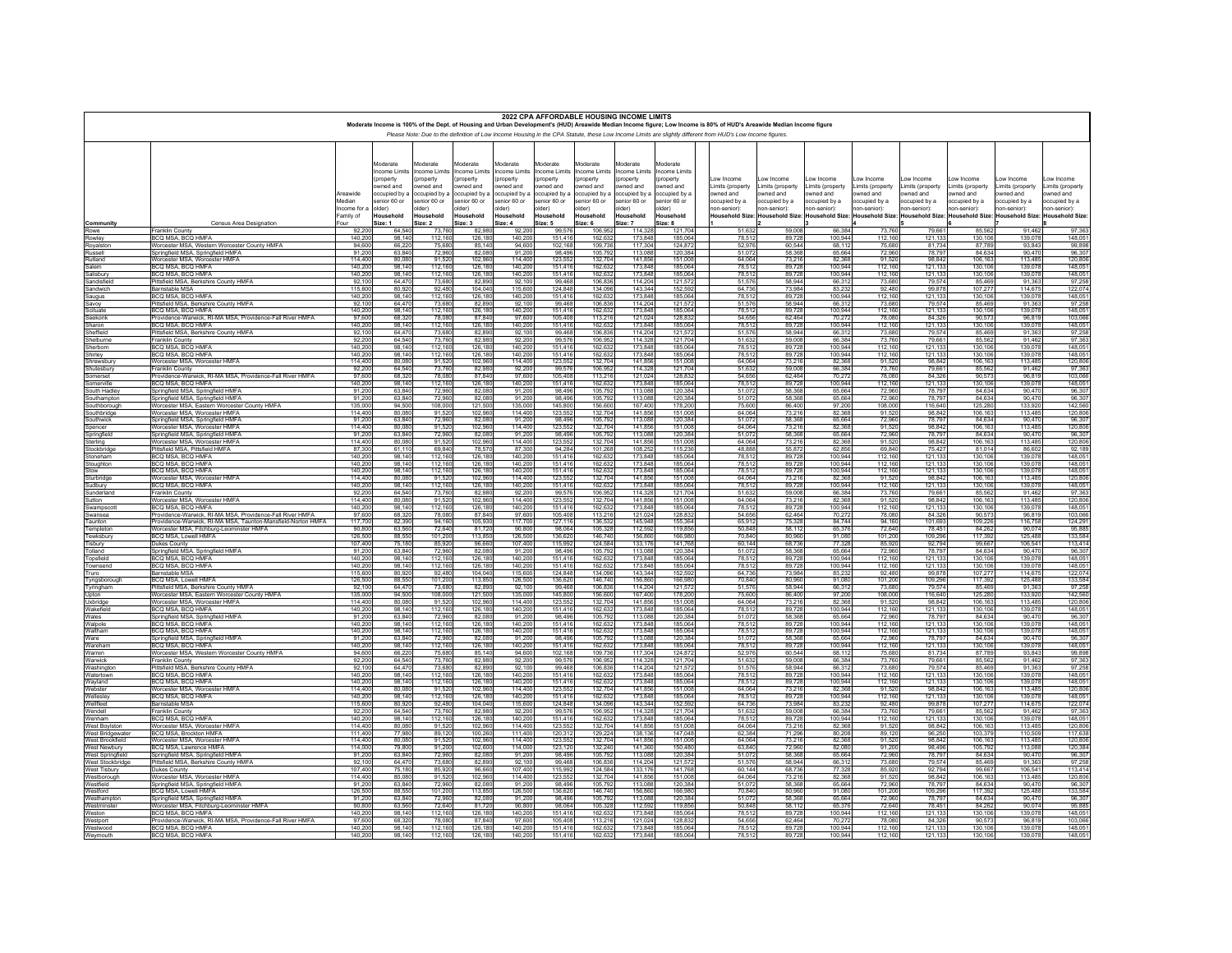|                                                                                                                                                            |                                                                                |                        |                          |                                 |                          |                          |                          | 2022 CPA AFFORDABLE HOUSING INCOME LIMITS |                          | Moderate Income is 100% of the Dept. of Housing and Urban Development's (HUD) Areawide Median Income figure; Low Income is 80% of HUD's Areawide Median Income figure |                              |                              |                              |                              |                                 |                              |                             |                             |
|------------------------------------------------------------------------------------------------------------------------------------------------------------|--------------------------------------------------------------------------------|------------------------|--------------------------|---------------------------------|--------------------------|--------------------------|--------------------------|-------------------------------------------|--------------------------|-----------------------------------------------------------------------------------------------------------------------------------------------------------------------|------------------------------|------------------------------|------------------------------|------------------------------|---------------------------------|------------------------------|-----------------------------|-----------------------------|
|                                                                                                                                                            |                                                                                |                        |                          |                                 |                          |                          |                          |                                           |                          |                                                                                                                                                                       |                              |                              |                              |                              |                                 |                              |                             |                             |
| Please Note: Due to the definition of Low Income Housing in the CPA Statute, these Low Income Limits are slightly different from HUD's Low Income figures. |                                                                                |                        |                          |                                 |                          |                          |                          |                                           |                          |                                                                                                                                                                       |                              |                              |                              |                              |                                 |                              |                             |                             |
|                                                                                                                                                            |                                                                                |                        |                          |                                 |                          |                          |                          |                                           |                          |                                                                                                                                                                       |                              |                              |                              |                              |                                 |                              |                             |                             |
|                                                                                                                                                            |                                                                                |                        | Moderate                 | Noderate                        | Noderate                 | Moderate                 | Moderate                 | Aoderate                                  | Moderate                 | <b>Aoderate</b>                                                                                                                                                       |                              |                              |                              |                              |                                 |                              |                             |                             |
|                                                                                                                                                            |                                                                                |                        | ncome Limits<br>property | <b>ncome Limits</b><br>property | ncome Limits<br>property | ncome Limits<br>property | ncome Limits<br>property | ncome Limits<br>property                  | ncome Limits<br>property | ncome Limits<br>property                                                                                                                                              | ow Income                    | ow Income                    | ow Income                    | ow Income                    | ow Income                       | ow Income                    | ow Income                   | ow Income                   |
|                                                                                                                                                            |                                                                                |                        | wned and                 | wned and                        | wned and                 | wned and                 | wned and                 | wned and                                  | wned and                 | wned and                                                                                                                                                              | Limits (property             | imits (property              | imits (property              | Limits (property             | Limits (property                | imits (property              | Limits (property            | imits (property             |
|                                                                                                                                                            |                                                                                | Areawide               | ccupied by a             | ccupied by a                    | ccupied by:              | occupied by a            | pccupied by a            | ccupied by a                              | ccupied by               | ccupied by a                                                                                                                                                          | wned and                     | owned and                    | wned and                     | owned and                    | owned and                       | wned and                     | wned and                    | wned and                    |
|                                                                                                                                                            |                                                                                | Median<br>Income for a | enior 60 or<br>(der)     | enior 60 or<br>lder)            | enior 60 or<br>Ider)     | enior 60 or<br>(der      | enior 60 or<br>(der      | enior 60 or<br>(der                       | enior 60 or<br>lder)     | enior 60 or<br>(der                                                                                                                                                   | ccupied by a<br>ion-senior): | ccupied by a<br>ion-senior): | ccupied by a<br>ton-senior): | ccupied by a<br>1on-senior): | occupied by a<br>1on-senior):   | ccupied by a<br>ion-senior): | ccupied by a<br>on-senior): | ccupied by a<br>on-senior): |
|                                                                                                                                                            |                                                                                | Family of              | Household                | Household                       | Household                | Household                | Household                | Household                                 | Household                | Household                                                                                                                                                             | Household Size:              | <b>Household Size</b>        | <b>Household Size:</b>       |                              | Household Size: Household Size: | <b>Household Size:</b>       | <b>Household Size</b>       | <b>Household Size:</b>      |
| Community                                                                                                                                                  | Census Area Designation                                                        | Four                   | Size: 1                  | Size: 2                         | Size: 3                  | Size: 4                  | Size: 5                  | Size: 6                                   | Size: 7                  | Size: 8                                                                                                                                                               |                              |                              |                              |                              |                                 |                              |                             |                             |
| Rowe<br>Rowley                                                                                                                                             | Franklin County<br>BCO MSA BCO HMFA                                            | 92.20<br>140.20        | 64.54<br>98 14           | 73.76<br>112 16                 | 82.98<br>126.18          | 92.20<br>140.20          | 99.57<br>151 41          | 106.95<br>162.63                          | 114.32<br>173.84         | 121.70<br>185.06                                                                                                                                                      | 51.632<br>78.513             | 59.00<br>89.72               | 66,384<br>100.944            | 73,760<br>112 160            | 79.66<br>121.13                 | 85.562<br>130 106            | 91.462<br>139 07            | 97.363<br>148,051           |
| Rovalston                                                                                                                                                  | Worcester MSA, Western Worcester County HMFA                                   | 94.60                  | 66.22                    | 75.68                           | 85.14                    | 94.60                    | 102.16                   | 109.73                                    | 117,30                   | 124.87                                                                                                                                                                | 52,976                       | 60.54                        | 68.112                       | 75,680                       | 81.73                           | 87,789                       | 93.84                       | 99.898                      |
| Russell<br>Rutland                                                                                                                                         | Springfield MSA, Springfield HMFA                                              | 91,20<br>11440         | 63,84                    | 72,96                           | 82,08<br>10296           | 91,20<br>114 40          | 98.49<br>123.55          | 105,79<br>13270                           | 113,08<br>14185          | 120.38<br>151.00                                                                                                                                                      | 51,072<br>64 064             | 58,36<br>73 21               | 65,664                       | 72,960<br>91.520             | 78,79                           | 84,634<br>106 163            | 90.47<br>113 485            | 96.307<br>120,806           |
| Salem                                                                                                                                                      | Worcester MSA Worcester HMFA<br>BCQ MSA, BCQ HMFA                              | 140.2                  | 80.08<br>98.14           | 91.52<br>112.16                 | 126.18                   | 140.20                   | $151.4$ <sup>*</sup>     | 162.63                                    | 173.84                   | 185.06                                                                                                                                                                | 78.51                        | 89.72                        | 82.368<br>100.944            | 112,160                      | 98.843<br>121,13                | 130,106                      | 139.07                      | 148.051                     |
| alishurv                                                                                                                                                   | BCO MSA BCO HMFA                                                               | 140.20                 | 98 14                    | 112 16                          | 126.18                   | 140.20                   | 15141                    | 162.63                                    | 173 84                   | 185.06                                                                                                                                                                | 78,512                       | 89 72                        | 100 944                      | 112 160                      | 121,13                          | 130 106                      | 139 07                      | 148 051                     |
| Sandisfiek<br>Sandwich                                                                                                                                     | Pittsfield MSA, Berkshire County HMFA<br><b>Barnstable MSA</b>                 | 92.10<br>115,60        | 64.47<br>80.92           | 73.68<br>92.48                  | 82.89<br>104 04          | 92.10<br>115.60          | 99.46<br>124 84          | 106.83<br>134 09                          | 114.20<br>143.34         | 121.57<br>152.59                                                                                                                                                      | 51,576<br>64.736             | 58.94<br>73.984              | 66.312<br>83 232             | 73,680<br>92 480             | 79.57<br>99.87                  | 85,469<br>107 277            | 91.36<br>114 67             | 97.258<br>122 074           |
| Saugus                                                                                                                                                     | <b>BCQ MSA, BCQ HMFA</b>                                                       | 140.20                 | 98.14                    | 112.16                          | 126.18                   | 140.20                   | 151.41                   | 162.63                                    | 173.84                   | 185.06                                                                                                                                                                | 78.512                       | 89.72                        | 100,944                      | 112.160                      | 121.13                          | 130,106                      | 139.078                     | 148.051                     |
| Savoy                                                                                                                                                      | Pittsfield MSA, Berkshire County HMFA                                          | 92 10                  | 6447                     | 73.68                           | 8289                     | 92 10                    | 9946                     | 10683                                     | 114 20                   | 121.57                                                                                                                                                                | 51.576                       | 58.94                        | 66.313                       | 73 680                       | 79.57                           | 85 469                       | 91.363                      | 97 258                      |
| cituate<br>eekonk                                                                                                                                          | BCQ MSA. BCQ HMFA<br>Providence-Warwick, RI-MA MSA, Providence-Fall River HMFA | 140.20<br>9760         | 98.14<br>68.32           | 112.16<br>78.08                 | 126.18<br>8784           | 140.20<br>9760           | 151.41<br>105.40         | 162.63<br>113.21                          | 173.84<br>121,02         | 185.06<br>128.83                                                                                                                                                      | 78,512<br>54 656             | 89.72<br>62.46               | 100.944<br>70.272            | 112.160<br>78,080            | 121.13<br>84 32                 | 130.10<br>90.573             | 139.07<br>96.81             | 148.051<br>103.066          |
| Sharon                                                                                                                                                     | BCQ MSA, BCQ HMFA                                                              | 140.20                 | 98.14                    | 112.16                          | 126.18                   | 140.20                   | 151.41                   | 162.63                                    | 173.84                   | 185.06                                                                                                                                                                | 78.512                       | 89.72                        | 100,944                      | 112,160                      | 121.13                          | 130,106                      | 139.078                     | 148,051                     |
| effield<br>elburne                                                                                                                                         | Pittsfield MSA, Berkshire County HMFA<br>Franklin County                       | 92 10<br>92.20         | 6447<br>64.54            | 73.68<br>73.76                  | 82.89<br>82.98           | 92 10<br>92.20           | 9946<br>99.57            | 10683<br>106.95                           | 114 20<br>114.32         | 121.57<br>121.70                                                                                                                                                      | 51.576<br>51.632             | 58.94<br>59.00               | 66.313<br>66,384             | 73 680<br>73,760             | 79.57<br>79.66                  | 85 469<br>85.562             | 91.363<br>91.462            | 97 258<br>97.363            |
| erborn                                                                                                                                                     | BCO MSA BCO HMFA                                                               | 140.20                 | 98 14                    | 112 16                          | 126.18                   | 140.20                   | 151 41                   | 162.63                                    | 173.84                   | 185.06                                                                                                                                                                | 78.512                       | 89 72                        | 100 944                      | 112 160                      |                                 | 130 106                      | 139.078                     | 148 051                     |
| hirley                                                                                                                                                     | BCQ MSA, BCQ HMFA                                                              | 140.20                 | 98.14                    | 112.16                          | 126.18                   | 140.20                   | 151.41                   | 162.63                                    | 173.84                   | 185.06                                                                                                                                                                | 78.512                       | 89.72                        | 100,944                      | 112.160                      | 121,13<br>121,13                | 130,106                      | 139.07                      | 148.051                     |
| <b>nrewsburv</b><br>Shutesbury                                                                                                                             | Worcester MSA, Worcester HMFA<br>Franklin County                               | 114,40<br>92.20        | 80.08<br>64.54           | 91.52<br>73.76                  | 102.96<br>82.98          | 114.40<br>92.20          | 123,55<br>99.57          | 132,70<br>106.95                          | 14185<br>114.32          | 151.00<br>121.70                                                                                                                                                      | 64.064<br>51.632             | 73.21<br>59.00               | 82.368<br>66,384             | 91.520<br>73,760             | 98.84<br>79.66                  | 106 163<br>85.562            | 113 485<br>91.462           | 120,806<br>97.363           |
| merset                                                                                                                                                     | Providence-Warwick, RI-MA MSA, Providence-Fall River HMFA                      | 97.60                  | 68.32                    | 78.08                           | 8784                     | 9760                     | 105 40                   | 113.21                                    | 121.02                   | 128.83                                                                                                                                                                | 54 656                       | 62.46                        | 70.272                       | 78,080                       | 84 32                           | 90.573                       | 96.81                       | 103 066                     |
| omerville                                                                                                                                                  | BCQ MSA, BCQ HMFA                                                              | 140.20                 | 98.14                    | 112.16                          | 126.18                   | 140.20                   | 151.41                   | 162.63                                    | 173.84                   | 185.06                                                                                                                                                                | 78.512                       | 89.72                        | 100.944                      | 112.160                      | 121.13                          | 130,106                      | 139,078                     | 148.051                     |
| South Hadley<br>Southampton                                                                                                                                | Springfield MSA, Springfield HMFA<br>Springfield MSA, Springfield HMFA         | 91.20<br>91.20         | 6384<br>63.84            | 72.96<br>72.96                  | 82.08<br>82.08           | 91.20<br>91.20           | 98.49<br>98.49           | 105.79<br>105.79                          | 113.08<br>113.08         | 120.38<br>120.38                                                                                                                                                      | 51.072<br>51.072             | 58.36<br>58,36               | 65 664<br>65.664             | 72960<br>72,960              | 78.79<br>78.79                  | 84 634<br>84.634             | 90.470<br>90.470            | 96 307<br>96.307            |
| outhborougl                                                                                                                                                | Worcester MSA, Eastern Worcester County HMFA                                   | 135.00                 | 94.50                    | 108.00                          | 121.50                   | 135.00                   | 145.80                   | 156.60                                    | 16740                    | 178.20                                                                                                                                                                | 75,600                       | 86,40                        | 97.200                       | 108,000                      | 116 64                          | 125 280                      | 133 920                     | 142,560                     |
| Southbridge                                                                                                                                                | Worcester MSA, Worcester HMFA                                                  | 114.40                 | 80.08                    | 91.52                           | 102.96                   | 114,40                   | 123.55                   | 132.70                                    | 141.85                   | 151.00                                                                                                                                                                | 64.064                       | 73.216                       | 82.368                       | 91.520                       | 98.84                           | 106.163                      | 113,485                     | 120,806                     |
| outhwick<br>pencer                                                                                                                                         | Springfield MSA, Springfield HMFA<br>Worcester MSA Worcester HMFA              | 91.20<br>114.40        | 6384<br>80.08            | 72.96<br>91.52                  | 82.08<br>102.96          | 91.20<br>114.40          | 98.49<br>123.55          | 10579<br>132.70                           | 113.08<br>141.85         | 120.38<br>151.00                                                                                                                                                      | 51.072<br>64.064             | 58.36<br>73.21               | 65.664<br>82.368             | 72960<br>91.520              | 78.79<br>98.84                  | 84 634<br>106.16             | 90.470<br>113,485           | 96.307<br>120.806           |
| Springfield                                                                                                                                                | Springfield MSA, Springfield HMFA                                              | 91,20                  | 63,84                    | 72,96                           | 82,08                    | 91.20                    | 98,49                    | 105,79                                    | 113,08                   | 120,38                                                                                                                                                                | 51,072                       | 58,36                        | 65,664                       | 72,960                       | 78,79                           | 84,634                       | 90.470                      | 96,307                      |
| erling<br>ockbrida                                                                                                                                         | Worcester MSA Worcester HMFA<br>Pittsfield MSA. Pittsfield HMFA                | 11440<br>87.30         | 80.08<br>61,11           | 91.52<br>69.84                  | 102,96<br>78.57          | 114 40<br>87.30          | 123,55<br>94.28          | 132,70<br>101,268                         | 141.85<br>108,25         | 151.00<br>115,236                                                                                                                                                     | 64 064<br>48,888             | 73 21<br>55,872              | 82.368<br>62.856             | 91.520<br>69,840             | 98.84<br>75,42                  | 106 16<br>81,014             | 113 48<br>86.602            | 120,806<br>92.189           |
| toneham                                                                                                                                                    | BCO MSA BCO HMFA                                                               | 140.20                 | 98 14                    | 112 16                          | 126.18                   | 140.20                   | 151 41                   | 162.63                                    | 173.84                   | 185.06                                                                                                                                                                | 78.512                       | 89 72                        | 100 944                      | 112 160                      |                                 | 130 10                       | 139.07                      | 148,051                     |
| oughton                                                                                                                                                    | BCQ MSA, BCQ HMFA                                                              | 140,20                 | 98,14                    | 112,16                          | 126,18                   | 140.20                   | 151,41                   | 162.63                                    | 173,84                   | 185.06                                                                                                                                                                | 78,512                       | 89.72                        | 100,944                      | 112.160                      | 121,13<br>121,13                | 130,106                      | 139,07                      | 148.051                     |
| urbridae                                                                                                                                                   | BCO MSA BCO HMEA<br>Worcester MSA, Worcester HMFA                              | 140.2<br>114,40        | 98 14<br>80.08           | 112.16<br>91.52                 | 126,18<br>102.96         | 140.20<br>114,40         | 151.41<br>123.55         | 162,63<br>132,70                          | 173.84<br>141,85         | 185.06<br>151,008                                                                                                                                                     | 78.51<br>64.064              | 89.72<br>73.21               | 100.94<br>82,368             | 112.160<br>91.520            | 121,13<br>98.84                 | 130 10<br>106,163            | 139.07<br>113,485           | 148 051<br>120.806          |
| udbury                                                                                                                                                     | BCO MSA BCO HMEA                                                               | 140.20                 | 98 14                    | 112 16                          | 126.18                   | 140.20                   | 151.41                   | 162.63                                    | 173,84<br>114,32         | 185.06                                                                                                                                                                | 78.513                       | 89.72                        | 100 944                      | 112 160                      | 121.13                          | 130 10                       | 139.07                      | 148,051                     |
| underland                                                                                                                                                  | Franklin County                                                                | 92.20                  | 64.54                    | 73.76                           | 82.98                    | 92.20                    | 99.57                    | 106.95                                    |                          | 121,704                                                                                                                                                               | 51,632                       | 59,008                       | 66,384                       | 73,760                       | 79,66                           | 85,562                       | 91.462                      | 97.363                      |
| utton<br>vampscot                                                                                                                                          | Worcester MSA Worcester HMFA<br>BCQ MSA, BCQ HMFA                              | 114 40<br>140.20       | 80.08<br>98.14           | 91.52<br>112,16                 | 102.96<br>126,18         | 114 40<br>140.20         | 123,55<br>151,41         | 132.70<br>162.63                          | 14185<br>173,84          | 151.00<br>185.06                                                                                                                                                      | 64.064<br>78,512             | 73 21<br>89.72               | 82.368<br>100,944            | 91 520<br>112,160            | 98.84<br>121,13                 | 106 16<br>130,106            | 113 48<br>139.07            | 120,806<br>148.051          |
| vansea                                                                                                                                                     | Providence-Warwick, RI-MA MSA, Providence-Fall River HMFA                      | $\frac{97,60}{117,70}$ | 68,32                    | 78.08                           | 87.84                    | 97.60                    | 105,408<br>127,116       | 113.21                                    | 121,02<br>145,94         | 128,83                                                                                                                                                                | 54.656                       | 62,46                        | 70,272                       | 78,080                       | 84.32                           | 90.57                        | 96.81                       | 103,066                     |
| Taunton                                                                                                                                                    | Providence-Warwick, RI-MA MSA, Taunton-Mansfield-Norton HMFA                   | 90.80                  | 82.39<br>63.56           | 94.16                           | 105,93<br>8172           | 117,700<br>90.80         | 98.06                    | 136.53                                    |                          | 155.36<br>11985                                                                                                                                                       | 65,912<br>50 848             | 75.328<br>58 11              | 84.744<br>65 376             | 94.160<br>72 640             | 101,693<br>78.45                | 109,226<br>84 262            | 116,758<br>90.074           | 124.291<br>95 885           |
| Templeton<br>Tewksbury                                                                                                                                     | Worcester MSA, Fitchburg-Leominster HMFA<br>BCQ MSA, Lowell HMFA               | 126,50                 | 88.55                    | 72.64<br>101,20                 | 113,85                   | 126,50                   | 136.62                   | 105.32<br>146.74                          | 112.59<br>156,86         | 166.98                                                                                                                                                                | 70,840                       | 80,960                       | 91.080                       | 101.200                      | 109.29                          | 117,392                      | 125,488                     | 133,584                     |
| Tisbury                                                                                                                                                    | Dukes County                                                                   | 107.40                 | 75.18                    | 85.92                           | 96.66                    | 107.40                   | 115.99                   | 124,58<br>105,79                          | 133,17<br>113,08         | 14176                                                                                                                                                                 | 60.144                       | 68 73                        | 77 328                       | 85 920                       | $\frac{92,794}{78,79}$          | 99.66                        | 106.54                      | 113 414                     |
| Tolland<br>Topsfield                                                                                                                                       | Springfield MSA, Springfield HMFA<br>BCQ MSA, BCQ HMFA                         | 91.20<br>140.20        | 63.84<br>98 14           | 72.96<br>112 16                 | 82.08<br>126,18          | 91.20<br>140.20          | 98.49<br>151 41          | 162.63                                    | 173.84                   | 120.38<br>185.06                                                                                                                                                      | 51,072<br>78.513             | 58,368<br>89.72              | 65.664<br>100 944            | 72,960<br>112 160            |                                 | 84.634<br>130 106            | 90.470<br>139.07            | 96.307<br>148.05            |
| Townsend                                                                                                                                                   | BCQ MSA, BCQ HMFA                                                              | 140.20                 | 98.14                    | 112.16                          | 126,18                   | 140,200                  | 151,416                  | 162.63                                    | 173.84                   | 185.06                                                                                                                                                                | 78.512                       | 89.728                       | 100.944                      | 112,160                      | $\frac{121,133}{121,133}$       | 130.106                      | 139,078                     | 148.051                     |
| Truro                                                                                                                                                      | <b>Barnstable MSA</b>                                                          | 115.60                 | 80.92                    | 92.48<br>101,20                 | 104.04<br>113,85         | 115.60                   | 124.84                   | 134.09                                    | 143.34<br>156,86         | 152.59                                                                                                                                                                | 64 736                       | 73.984                       | 83 232                       | 92 480                       | 99.87                           | 107 277<br>117,392           | 114 675                     | 122.074                     |
| Tyngsborough<br>Tyringham                                                                                                                                  | <b>BCQ MSA, Lowell HMFA</b><br>Pittsfield MSA, Berkshire County HMFA           | 126,50<br>92.10        | 88.55<br>64.47           | 73.68                           |                          | 126.50                   | 136.62<br>99.46          | 146.74                                    |                          | 166,98<br>121,57                                                                                                                                                      | 70,840                       | 80,960<br>58.94              | 91.080<br>66,312             | 101.200<br>73 680            | 109.29                          | 85 469                       | 125.488<br>91.36            | 133,584<br>97.258           |
| Upton                                                                                                                                                      | Worcester MSA, Eastern Worcester County HMFA                                   | 135.00                 | 94.50                    | 108.00                          | 82,89<br>121,50          | $\frac{92,101}{135,001}$ | 145,800                  | 106,836                                   | 114,20<br>167,40         | 178.20                                                                                                                                                                | 51,576<br>75,600             | 86,400                       | 97.200                       | 108,000                      | 79,574<br>116,640               | 125,280                      | 133,920                     | 142.560                     |
| Uxbridge<br>Wakefield                                                                                                                                      | Worcester MSA Worcester HMFA<br>BCQ MSA, BCQ HMFA                              | 114 40<br>140.20       | 80.08<br>98.14           | 91.52<br>112.16                 | 102,96<br>126.18         | 114 40<br>140.20         | 123,552<br>151,416       | 132.70<br>162.63                          | 141.85<br>173.84         | 151.00<br>185.06                                                                                                                                                      | 64.064<br>78.512             | 73.21<br>89.728              | 82.368<br>100.944            | 91.520<br>112.160            | 98.84<br>121,133                | 106 163<br>130,106           | 113 485<br>139,078          | 120,806<br>148.051          |
| Wales                                                                                                                                                      | Springfield MSA, Springfield HMFA                                              | 91.20                  | 63.84                    | 72.96                           | 82.08                    | 91.20                    | 98.49                    | 105.7                                     | 113.08                   | 120.38                                                                                                                                                                | 51,072                       | 58.36                        | 65.664                       | 72,960                       | 78.79                           | 84.634                       | 90.47                       | 96.307                      |
| Walpole                                                                                                                                                    | BCO MSA BCO HMFA                                                               | 140.20                 | 98 14                    | 112 16                          | 126,18                   | 140 20                   | 151,41                   | 162.63                                    | 173,84                   | 185.06                                                                                                                                                                | 78.512                       | 89,72                        | 100 944                      | 112 160                      | $\frac{121,13}{121,13}$         | 130 10                       | 139.074                     | 148 051                     |
| Waltham<br>Ware                                                                                                                                            | BCQ MSA, BCQ HMFA<br>Springfield MSA, Springfield HMFA                         | 140.20<br>91.20        | 98.14<br>6384            | 112.16<br>72.96                 | 126.18<br>82.08          | 140.20<br>91.20          | 151.41<br>98.49          | 162.63<br>105.79                          | 173.84<br>113.08         | 185.06<br>120 38                                                                                                                                                      | 78,512<br>51.072             | 89.72<br>58.36               | 100.94<br>65.664             | 112.160<br>72960             | 78.79                           | 130,106<br>84 634            | 139.07<br>90.47             | 148.051<br>96.307           |
| Wareham                                                                                                                                                    | BCQ MSA. BCQ HMFA                                                              | 140.20                 | 98.14                    | 112.16                          | 126.18                   | 140.20                   | 151.41                   | 162.63                                    | 173.84                   | 185.06                                                                                                                                                                | 78.512                       | 89.72                        | 100.944                      | 112.160                      | 121.13                          | 130,106                      | 139.078                     | 148.051                     |
| Warren                                                                                                                                                     | Worcester MSA, Western Worcester County HMFA                                   | 94.60                  | 66.22<br>64.54           | 75.68<br>73.76                  | 85 14                    | 94.60                    | 102 16                   | 109 73                                    | 117.30                   | 124.87                                                                                                                                                                | 52.976<br>51,632             | 60.54                        | 68 113                       | 75 680<br>73,760             | 81 73<br>79.66                  | 87 789<br>85.56              | 93 843                      | 99 898                      |
| Warwick<br>Washington                                                                                                                                      | Franklin County<br>Pittsfield MSA, Berkshire County HMFA                       | 92.20<br>9210          | 6447                     | 73.68                           | 82.98<br>82.89           | 92.20<br>92.10           | 99.57<br>99.46           | 106.95<br>10683                           | 114.32<br>114 20         | 121.70<br>121.57                                                                                                                                                      | 51.576                       | 59.00<br>58.94               | 66,384<br>66.312             | 73,680                       | 79.57                           | 85 469                       | 91.462<br>91.36             | 97.363<br>97 258            |
| Watertown                                                                                                                                                  | BCQ MSA, BCQ HMFA                                                              | 140.20                 | 98.14                    | 112.16                          | 126.18                   | 140.20                   | 151.41                   | 162.63                                    | 173.84                   | 185.06                                                                                                                                                                | 78.512                       | 89.72                        | 100.944                      | 112.160                      | 121.13                          | 130,106                      | 139,078                     | 148.051                     |
| Wavland<br>Webster                                                                                                                                         | BCO MSA BCO HMFA<br>Worcester MSA, Worcester HMFA                              | 140.20<br>114.40       | 98 14<br>80.08           | 112 16<br>91.52                 | 126.18<br>102.96         | 140.20<br>114.40         | 15141<br>123.55          | 162.63<br>132.70                          | 173 84<br>141.85         | 185.06<br>151.00                                                                                                                                                      | 78.512<br>64.064             | 89 72<br>73.21               | 100 944<br>82,368            | 112 160<br>91.520            | 121.13<br>98.84                 | 130 106<br>106.163           | 139.078<br>113,485          | 148 051<br>120,806          |
| Wellesley                                                                                                                                                  | BCO MSA BCO HMFA                                                               | 140.20                 | 98 14                    | 112 16                          | 126,18                   | 140.20                   | 15141                    | 162.63                                    | 173.84                   | 185.06                                                                                                                                                                | 78.512                       | 89 72                        | 100 944                      | 112 160                      | 121,13                          | 130 106                      | 139 078                     | 148 051                     |
| Wellfleet                                                                                                                                                  | Barnstable MSA                                                                 | 115,60                 | 80.92                    | 92.48                           | 104.04                   | 115.60                   | 124.84                   | 134.09                                    | 143.34                   | 152.59                                                                                                                                                                | 64,736                       | 73.98                        | 83.232                       | 92,480                       | 99.87                           | 107.277                      | 114.67                      | 122.074                     |
| Wendell<br>Wenham                                                                                                                                          | Franklin County<br><b>BCQ MSA, BCQ HMFA</b>                                    | 92.20<br>140.20        | 64.54<br>98.14           | 73.76<br>112.16                 | 82.98<br>126.18          | 92.20<br>140.20          | 99.57<br>151.41          | 106.95<br>162.63                          | 114 32<br>173.84         | 12170<br>185.06                                                                                                                                                       | 51.632<br>78.512             | 59,001<br>89.72              | 66,384<br>100.944            | 73 760<br>112,160            | 79.66<br>121.13                 | 85.562<br>130,106            | 91463<br>139,078            | 97 363<br>148,051           |
| West Boviston                                                                                                                                              | Worcester MSA Worcester HMFA                                                   | 114 40                 | 80.08                    | 91.52                           | 102.96                   | 114 40                   | 123.55                   | 132.70                                    | 14185                    | 151.00                                                                                                                                                                | 64.064                       | 73.216                       | 82.368                       | 91.520                       | 98.84                           | 106 163                      | 113 485                     | 120.806                     |
| West Bridgewater<br>West Brookfield                                                                                                                        | BCQ MSA, Brockton HMFA<br>Worcester MSA Worcester HMF.                         | 111.40<br>114.40       | 77.98<br>80.08           | 89.12<br>91.52                  | 100,26<br>102.96         | 111.40<br>114 40         | 120,31                   | 129,22<br>132.70                          | 138.13<br>14185          | 147.04<br>151.00                                                                                                                                                      | 62.384<br>64.064             | 71.29                        | 80,208<br>82.368             | 89.120<br>91.520             | 96.25<br>98.84                  | 103.379<br>106 163           | 110.50<br>113 485           | 117.638                     |
| West Newbury                                                                                                                                               | BCQ MSA, Lawrence HMFA                                                         | 114.00                 | 79.80                    | 91.20                           | 102.60                   | 114.00                   | 123,55<br>123.12         | 132.24                                    | 141.36                   | 150.48                                                                                                                                                                | 63,840                       | 73,216<br>72.96              | 82.080                       | 91,200                       | 98.49                           | 105.792                      | 113,088                     | 120,806<br>120.384          |
| West Springfield                                                                                                                                           | Springfield MSA, Springfield HMFA                                              | 91.20                  | 6384                     | 72.96                           | 82.08                    | 91.20                    | 98.49                    | 10579                                     | 113.08                   | 120.38                                                                                                                                                                | 51.072                       | 58.36                        | 65 664                       | 72960                        | 78,79                           | 84 634                       | 90.47                       | 96 307                      |
| West Stockbridge<br>West Tisbury                                                                                                                           | Pittsfield MSA, Berkshire County HMFA<br>Dukes County                          | 92.10<br>10740         | 64.47<br>75.18           | 73.68<br>85.92                  | 82.89<br>96.66           | 92.10<br>107 40          | 99.468<br>115.99         | 106.83<br>124.58                          | 114.20<br>133 17         | 121.57<br>14176                                                                                                                                                       | 51.576<br>60 144             | 58.944<br>68 73              | 66.312<br>77 328             | 73,680<br>85 920             | 79.57<br>92.79                  | 85.469<br>99.667             | 91.363<br>106.541           | 97.258<br>113 414           |
| Westborough                                                                                                                                                | Worcester MSA, Worcester HMFA                                                  | 114.40                 | 80.08                    | 91.52                           | 102.96                   | 114.40                   | 123.55                   | 132.70                                    | 141.85                   | 151.00                                                                                                                                                                | 64.064                       | 73.216                       | 82.368                       | 91.520                       | 98.84                           | 106.16                       | 113,485                     | 120,806                     |
| Westfield                                                                                                                                                  | Springfield MSA, Springfield HMFA                                              | 91.20                  | 6384                     | 72.96                           | 82.08                    | 91.20                    | 98.49                    | 10579                                     | 113.08                   | 120.38                                                                                                                                                                | 51.072                       | 58.36                        | 65 664                       | 72960                        | 78.79                           | 84 634                       | 90.470                      | 96.307                      |
| Westford<br>Westhamptor                                                                                                                                    | BCQ MSA, Lowell HMFA<br>Springfield MSA, Springfield HMFA                      | 126.50<br>91.20        | 88.55<br>63.84           | 101.20<br>72,96                 | 113.85<br>82.08          | 126.50<br>91.20          | 136.62<br>98.49          | 146.74<br>105,79                          | 156.86<br>113,08         | 166.98<br>120.38                                                                                                                                                      | 70,840<br>51,072             | 80.96<br>58.36               | 91.080<br>65.664             | 101.200<br>72,960            | 109.29<br>78,79                 | 117.392<br>84.634            | 125,488<br>90.470           | 133.584<br>96,307           |
| Westminster                                                                                                                                                | Worcester MSA, Fitchburg-Leominster HMFA                                       | 90.80                  | 63.56                    | 72.64                           | 8172                     | 90.80                    | 98.06                    | 10532                                     | 112.59                   | 11985                                                                                                                                                                 | 50 848                       | 58 11                        | 65 376                       | 72 640                       | 78.45                           | 84 26                        | 90.074                      | 95 885                      |
| Weston                                                                                                                                                     | BCQ MSA, BCQ HMFA<br>Providence-Warwick, RI-MA MSA, Providence-Fall River HMFA | 140.20<br>97.60        | 98.14<br>68.32           | 112,16<br>78.08                 | 126,18<br>8784           | 140.20<br>97.60          | 151,41                   | 162.63<br>113.21                          | 173,84                   | 185.06                                                                                                                                                                | 78,512<br>54 656             | 89.72<br>62.46               | 100,944                      | 112,160<br>78.08             | 121,13<br>84 32                 | 130,106<br>90.57             | 139.07<br>96.81             | 148.051                     |
| Westport<br>Westwood                                                                                                                                       | BCQ MSA, BCQ HMFA                                                              | 140,200                | 98.14                    | 112.16                          | 126,180                  | 140,200                  | 105.40<br>151,416        | 162.63                                    | 121.02<br>173,848        | 128.83<br>185.06                                                                                                                                                      | 78.512                       | 89.728                       | 70.27<br>100,944             | 112.160                      | 121,133                         | 130,106                      | 139.078                     | 103.066<br>148.051          |
| Weymouth                                                                                                                                                   | BCO MSA BCO HMFA                                                               | 140.20                 | 98 140                   | 112 16                          | 126,180                  | 140,200                  | 151 416                  | 162.63                                    | 173 848                  | 185 064                                                                                                                                                               | 78.512                       | 89.728                       | 100 944                      | 112 160                      | 121.13                          | 130 106                      | 139 078                     | 148 051                     |